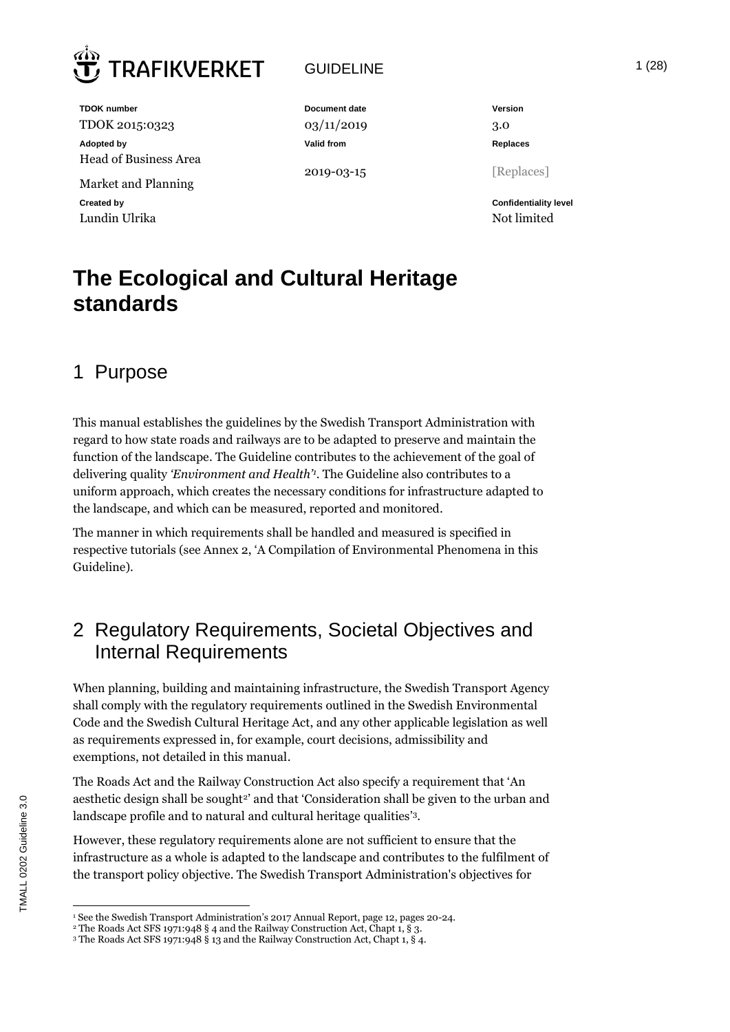

## GUIDELINE 1 (28)

**TDOK number Document date Document date Version** TDOK 2015:0323 03/11/2019 3.0 **Adopted by Valid from Replaces** Head of Business Area Market and Planning

Lundin Ulrika Note and the United States of the United States and the United States of the United States of the U

2019-03-15 [Replaces]

**Created by Confidentiality level**

## **The Ecological and Cultural Heritage standards**

## 1 Purpose

This manual establishes the guidelines by the Swedish Transport Administration with regard to how state roads and railways are to be adapted to preserve and maintain the function of the landscape. The Guideline contributes to the achievement of the goal of delivering quality *'Environment and Health'<sup>1</sup>* . The Guideline also contributes to a uniform approach, which creates the necessary conditions for infrastructure adapted to the landscape, and which can be measured, reported and monitored.

The manner in which requirements shall be handled and measured is specified in respective tutorials (see Annex 2, 'A Compilation of Environmental Phenomena in this Guideline).

## 2 Regulatory Requirements, Societal Objectives and Internal Requirements

When planning, building and maintaining infrastructure, the Swedish Transport Agency shall comply with the regulatory requirements outlined in the Swedish Environmental Code and the Swedish Cultural Heritage Act, and any other applicable legislation as well as requirements expressed in, for example, court decisions, admissibility and exemptions, not detailed in this manual.

The Roads Act and the Railway Construction Act also specify a requirement that 'An aesthetic design shall be sought<sup>2</sup> and that 'Consideration shall be given to the urban and landscape profile and to natural and cultural heritage qualities' 3.

However, these regulatory requirements alone are not sufficient to ensure that the infrastructure as a whole is adapted to the landscape and contributes to the fulfilment of the transport policy objective. The Swedish Transport Administration's objectives for

<sup>&</sup>lt;sup>1</sup> See the Swedish Transport Administration's 2017 Annual Report, page 12, pages 20-24.

<sup>&</sup>lt;sup>2</sup> The Roads Act SFS 1971:948 § 4 and the Railway Construction Act, Chapt 1, § 3.

<sup>3</sup> The Roads Act SFS 1971:948 § 13 and the Railway Construction Act, Chapt 1, § 4.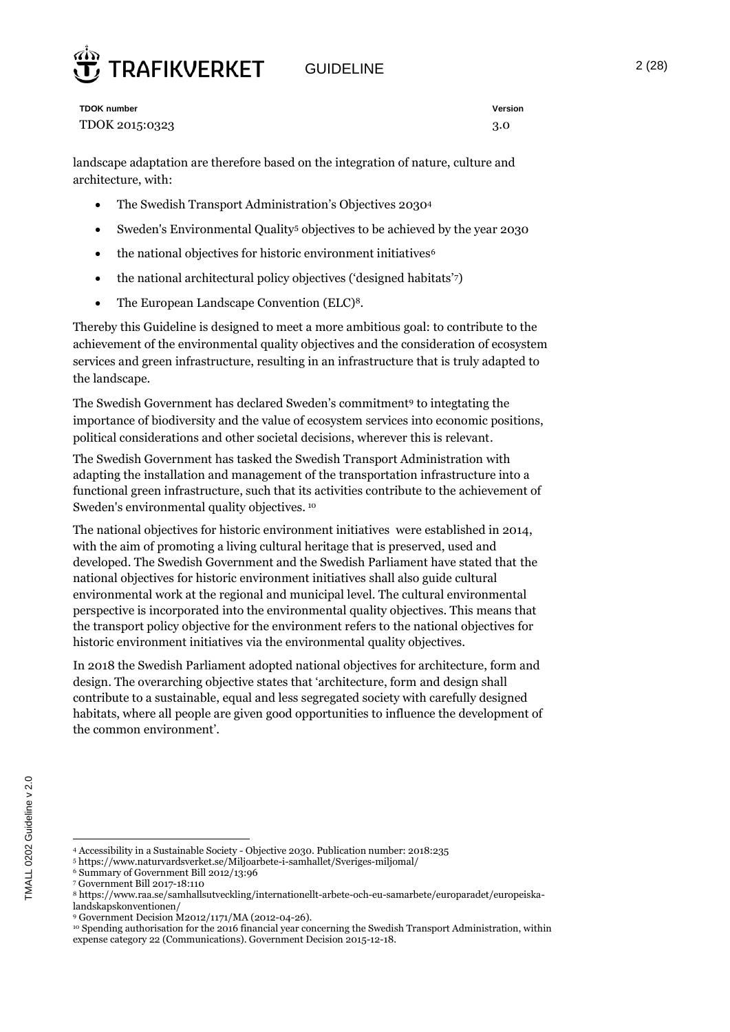# **RAFIKVERKET**

GUIDELINE 2 (28)

**TDOK number Version** TDOK 2015:0323 3.0

landscape adaptation are therefore based on the integration of nature, culture and architecture, with:

- The Swedish Transport Administration's Objectives 2030<sup>4</sup>
- Sweden's Environmental Quality<sup>5</sup> objectives to be achieved by the year 2030
- the national objectives for historic environment initiatives<sup>6</sup>
- $\bullet$  the national architectural policy objectives ('designed habitats')
- The European Landscape Convention (ELC)<sup>8</sup>.

Thereby this Guideline is designed to meet a more ambitious goal: to contribute to the achievement of the environmental quality objectives and the consideration of ecosystem services and green infrastructure, resulting in an infrastructure that is truly adapted to the landscape.

The Swedish Government has declared Sweden's commitment<sup>9</sup> to integtating the importance of biodiversity and the value of ecosystem services into economic positions, political considerations and other societal decisions, wherever this is relevant.

The Swedish Government has tasked the Swedish Transport Administration with adapting the installation and management of the transportation infrastructure into a functional green infrastructure, such that its activities contribute to the achievement of Sweden's environmental quality objectives. <sup>10</sup>

The national objectives for historic environment initiatives were established in 2014, with the aim of promoting a living cultural heritage that is preserved, used and developed. The Swedish Government and the Swedish Parliament have stated that the national objectives for historic environment initiatives shall also guide cultural environmental work at the regional and municipal level. The cultural environmental perspective is incorporated into the environmental quality objectives. This means that the transport policy objective for the environment refers to the national objectives for historic environment initiatives via the environmental quality objectives.

In 2018 the Swedish Parliament adopted national objectives for architecture, form and design. The overarching objective states that 'architecture, form and design shall contribute to a sustainable, equal and less segregated society with carefully designed habitats, where all people are given good opportunities to influence the development of the common environment'.

<sup>4</sup> Accessibility in a Sustainable Society - Objective 2030. Publication number: 2018:235

<sup>5</sup> https://www.naturvardsverket.se/Miljoarbete-i-samhallet/Sveriges-miljomal/

<sup>6</sup> Summary of Government Bill 2012/13:96

<sup>7</sup> Government Bill 2017-18:110

<sup>8</sup> https://www.raa.se/samhallsutveckling/internationellt-arbete-och-eu-samarbete/europaradet/europeiskalandskapskonventionen/

<sup>9</sup> Government Decision M2012/1171/MA (2012-04-26).

<sup>10</sup> Spending authorisation for the 2016 financial year concerning the Swedish Transport Administration, within expense category 22 (Communications). Government Decision 2015-12-18.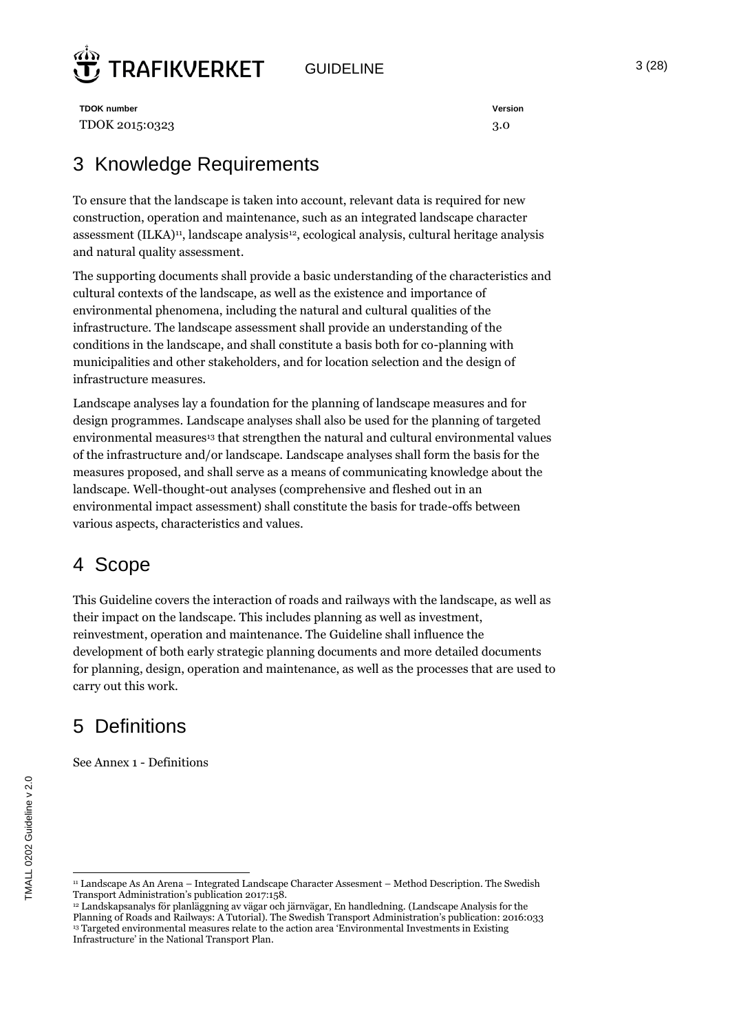

GUIDELINE  $3 (28)$ 

**TDOK number Version** TDOK 2015:0323 3.0

## 3 Knowledge Requirements

To ensure that the landscape is taken into account, relevant data is required for new construction, operation and maintenance, such as an integrated landscape character assessment (ILKA)<sup>11</sup>, landscape analysis<sup>12</sup>, ecological analysis, cultural heritage analysis and natural quality assessment.

The supporting documents shall provide a basic understanding of the characteristics and cultural contexts of the landscape, as well as the existence and importance of environmental phenomena, including the natural and cultural qualities of the infrastructure. The landscape assessment shall provide an understanding of the conditions in the landscape, and shall constitute a basis both for co-planning with municipalities and other stakeholders, and for location selection and the design of infrastructure measures.

Landscape analyses lay a foundation for the planning of landscape measures and for design programmes. Landscape analyses shall also be used for the planning of targeted environmental measures<sup>13</sup> that strengthen the natural and cultural environmental values of the infrastructure and/or landscape. Landscape analyses shall form the basis for the measures proposed, and shall serve as a means of communicating knowledge about the landscape. Well-thought-out analyses (comprehensive and fleshed out in an environmental impact assessment) shall constitute the basis for trade-offs between various aspects, characteristics and values.

## 4 Scope

This Guideline covers the interaction of roads and railways with the landscape, as well as their impact on the landscape. This includes planning as well as investment, reinvestment, operation and maintenance. The Guideline shall influence the development of both early strategic planning documents and more detailed documents for planning, design, operation and maintenance, as well as the processes that are used to carry out this work.

## 5 Definitions

TMALL 0202 Guideline v 2.0

MALL 0202 Guideline v 2.0

See Annex 1 - Definitions

 $\overline{a}$ <sup>11</sup> Landscape As An Arena – Integrated Landscape Character Assesment – Method Description. The Swedish Transport Administration's publication 2017:158.

<sup>12</sup> Landskapsanalys för planläggning av vägar och järnvägar, En handledning. (Landscape Analysis for the Planning of Roads and Railways: A Tutorial). The Swedish Transport Administration's publication: 2016:033 <sup>13</sup> Targeted environmental measures relate to the action area 'Environmental Investments in Existing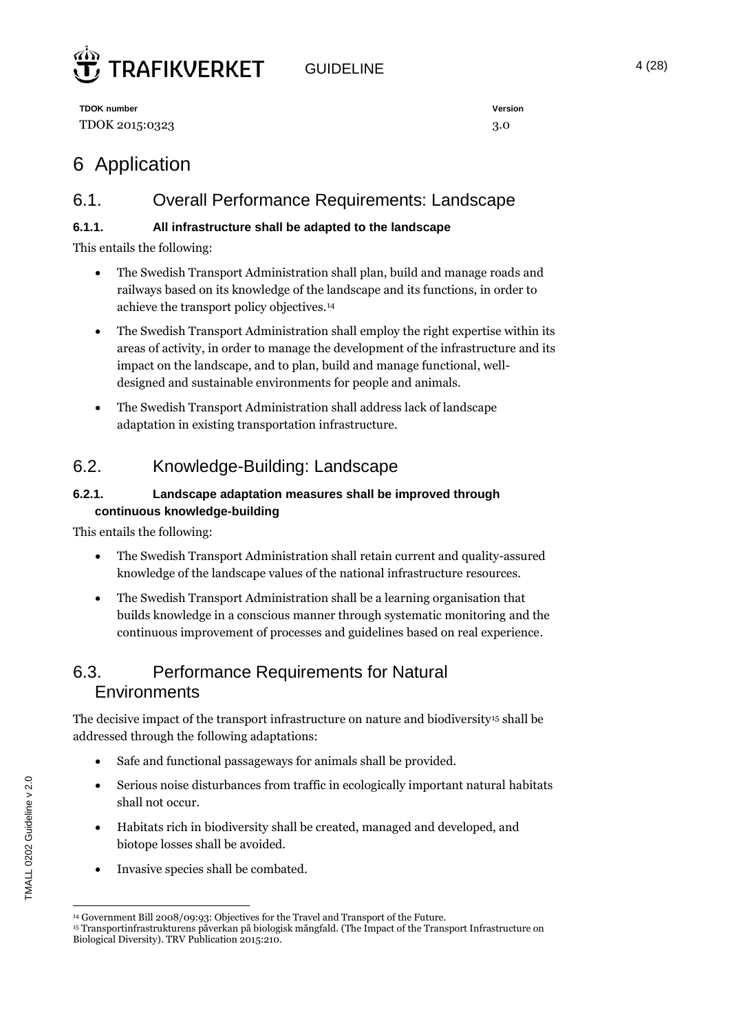

GUIDELINE 4 (28)

**TDOK number Version** TDOK 2015:0323 3.0

## 6 Application

## 6.1. Overall Performance Requirements: Landscape

#### **6.1.1. All infrastructure shall be adapted to the landscape**

This entails the following:

- The Swedish Transport Administration shall plan, build and manage roads and railways based on its knowledge of the landscape and its functions, in order to achieve the transport policy objectives.<sup>14</sup>
- The Swedish Transport Administration shall employ the right expertise within its areas of activity, in order to manage the development of the infrastructure and its impact on the landscape, and to plan, build and manage functional, welldesigned and sustainable environments for people and animals.
- The Swedish Transport Administration shall address lack of landscape adaptation in existing transportation infrastructure.

## 6.2. Knowledge-Building: Landscape

#### **6.2.1. Landscape adaptation measures shall be improved through continuous knowledge-building**

This entails the following:

- The Swedish Transport Administration shall retain current and quality-assured knowledge of the landscape values of the national infrastructure resources.
- The Swedish Transport Administration shall be a learning organisation that builds knowledge in a conscious manner through systematic monitoring and the continuous improvement of processes and guidelines based on real experience.

## 6.3. Performance Requirements for Natural **Environments**

The decisive impact of the transport infrastructure on nature and biodiversity<sup>15</sup> shall be addressed through the following adaptations:

- Safe and functional passageways for animals shall be provided.
- Serious noise disturbances from traffic in ecologically important natural habitats shall not occur.
- Habitats rich in biodiversity shall be created, managed and developed, and biotope losses shall be avoided.
- Invasive species shall be combated.

 $\overline{a}$ <sup>14</sup> Government Bill 2008/09:93: Objectives for the Travel and Transport of the Future.

<sup>15</sup> Transportinfrastrukturens påverkan på biologisk mångfald. (The Impact of the Transport Infrastructure on Biological Diversity). TRV Publication 2015:210.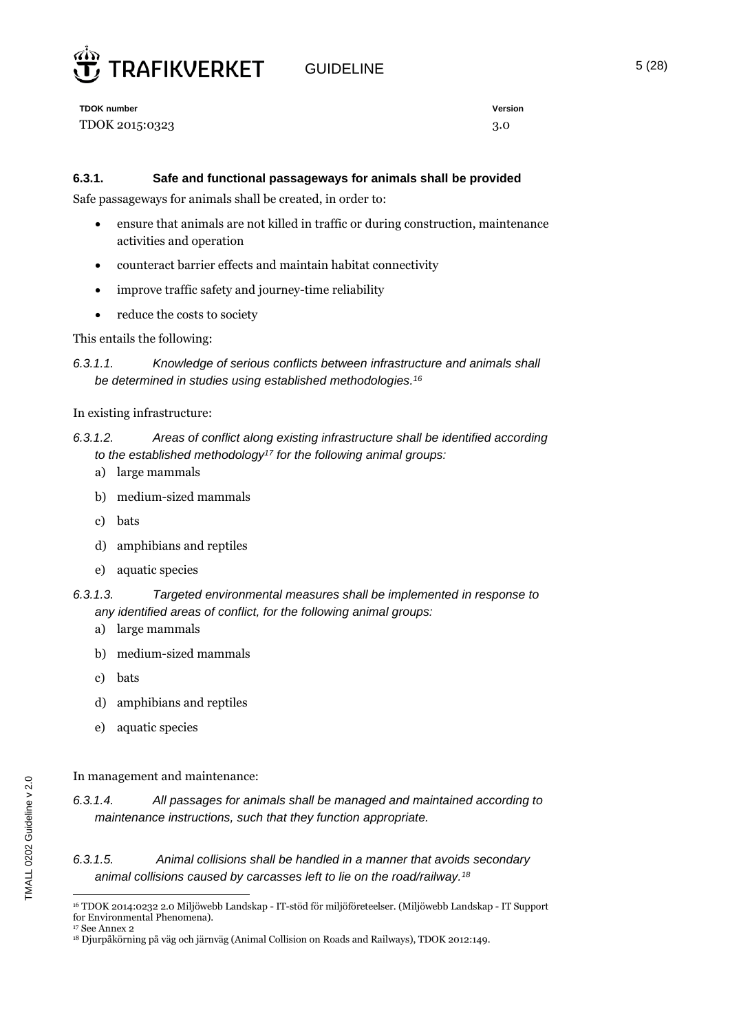

GUIDELINE 5 (28)

**TDOK number Version** TDOK 2015:0323 3.0

#### **6.3.1. Safe and functional passageways for animals shall be provided**

Safe passageways for animals shall be created, in order to:

- ensure that animals are not killed in traffic or during construction, maintenance activities and operation
- counteract barrier effects and maintain habitat connectivity
- improve traffic safety and journey-time reliability
- reduce the costs to society

#### This entails the following:

*6.3.1.1. Knowledge of serious conflicts between infrastructure and animals shall be determined in studies using established methodologies. 16*

#### In existing infrastructure:

#### *6.3.1.2. Areas of conflict along existing infrastructure shall be identified according to the established methodology<sup>17</sup> for the following animal groups:*

- a) large mammals
- b) medium-sized mammals
- c) bats
- d) amphibians and reptiles
- e) aquatic species
- *6.3.1.3. Targeted environmental measures shall be implemented in response to any identified areas of conflict, for the following animal groups:*
	- a) large mammals
	- b) medium-sized mammals
	- c) bats
	- d) amphibians and reptiles
	- e) aquatic species

In management and maintenance:

#### *6.3.1.5. Animal collisions shall be handled in a manner that avoids secondary animal collisions caused by carcasses left to lie on the road/railway.<sup>18</sup>*

*<sup>6.3.1.4.</sup> All passages for animals shall be managed and maintained according to maintenance instructions, such that they function appropriate.*

 $\overline{a}$ <sup>16</sup> TDOK 2014:0232 2.0 Miljöwebb Landskap - IT-stöd för miljöföreteelser. (Miljöwebb Landskap - IT Support for Environmental Phenomena).

<sup>&</sup>lt;sup>17</sup> See Annex 2

<sup>18</sup> Djurpåkörning på väg och järnväg (Animal Collision on Roads and Railways), TDOK 2012:149.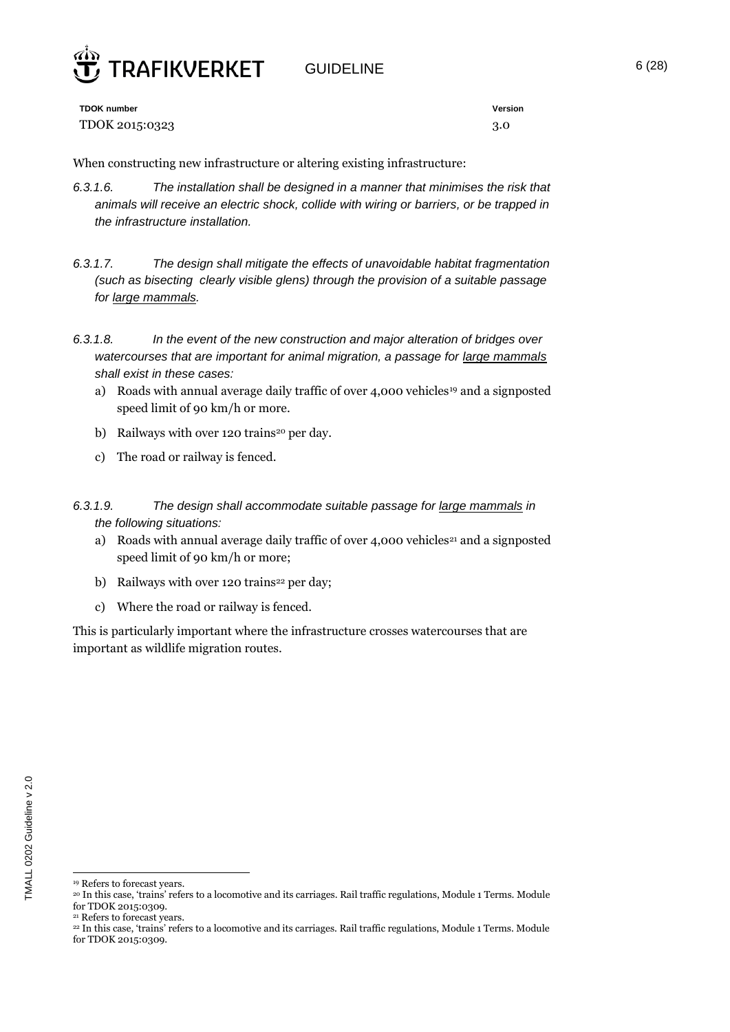

GUIDELINE 6 (28)

**TDOK number Version** TDOK 2015:0323 3.0

When constructing new infrastructure or altering existing infrastructure:

- *6.3.1.6. The installation shall be designed in a manner that minimises the risk that animals will receive an electric shock, collide with wiring or barriers, or be trapped in the infrastructure installation.*
- *6.3.1.7. The design shall mitigate the effects of unavoidable habitat fragmentation (such as bisecting clearly visible glens) through the provision of a suitable passage for large mammals.*
- *6.3.1.8. In the event of the new construction and major alteration of bridges over watercourses that are important for animal migration, a passage for large mammals shall exist in these cases:*
	- a) Roads with annual average daily traffic of over 4,000 vehicles<sup>19</sup> and a signposted speed limit of 90 km/h or more.
	- b) Railways with over 120 trains<sup>20</sup> per day.
	- c) The road or railway is fenced.
- *6.3.1.9. The design shall accommodate suitable passage for large mammals in the following situations:*
	- a) Roads with annual average daily traffic of over 4,000 vehicles<sup>21</sup> and a signposted speed limit of 90 km/h or more;
	- b) Railways with over 120 trains<sup>22</sup> per day;
	- c) Where the road or railway is fenced.

This is particularly important where the infrastructure crosses watercourses that are important as wildlife migration routes.

 $\overline{a}$ <sup>19</sup> Refers to forecast years.

<sup>20</sup> In this case, 'trains' refers to a locomotive and its carriages. Rail traffic regulations, Module 1 Terms. Module for TDOK 2015:0309.

<sup>21</sup> Refers to forecast years.

<sup>22</sup> In this case, 'trains' refers to a locomotive and its carriages. Rail traffic regulations, Module 1 Terms. Module for TDOK 2015:0309.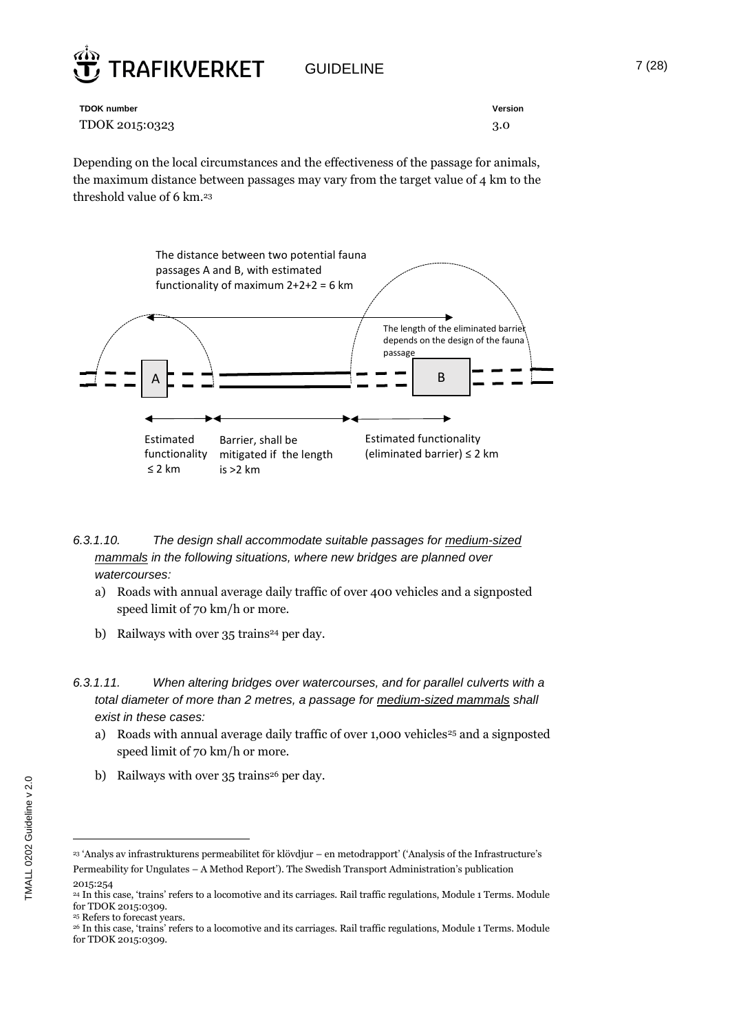

GUIDELINE 7 (28)

| <b>TDOK number</b> | Version |
|--------------------|---------|
| TDOK 2015:0323     | 3.0     |

Depending on the local circumstances and the effectiveness of the passage for animals, the maximum distance between passages may vary from the target value of 4 km to the threshold value of 6 km.<sup>23</sup>



#### *6.3.1.10. The design shall accommodate suitable passages for medium-sized mammals in the following situations, where new bridges are planned over watercourses:*

- a) Roads with annual average daily traffic of over 400 vehicles and a signposted speed limit of 70 km/h or more.
- b) Railways with over  $35$  trains<sup>24</sup> per day.
- *6.3.1.11. When altering bridges over watercourses, and for parallel culverts with a total diameter of more than 2 metres, a passage for medium-sized mammals shall exist in these cases:*
	- a) Roads with annual average daily traffic of over 1,000 vehicles<sup>25</sup> and a signposted speed limit of 70 km/h or more.
	- b) Railways with over 35 trains<sup>26</sup> per day.

<sup>23</sup> 'Analys av infrastrukturens permeabilitet för klövdjur – en metodrapport' ('Analysis of the Infrastructure's Permeability for Ungulates – A Method Report'). The Swedish Transport Administration's publication

<sup>2015:254</sup>

<sup>24</sup> In this case, 'trains' refers to a locomotive and its carriages. Rail traffic regulations, Module 1 Terms. Module for TDOK 2015:0309.

<sup>25</sup> Refers to forecast years.

<sup>26</sup> In this case, 'trains' refers to a locomotive and its carriages. Rail traffic regulations, Module 1 Terms. Module for TDOK 2015:0309.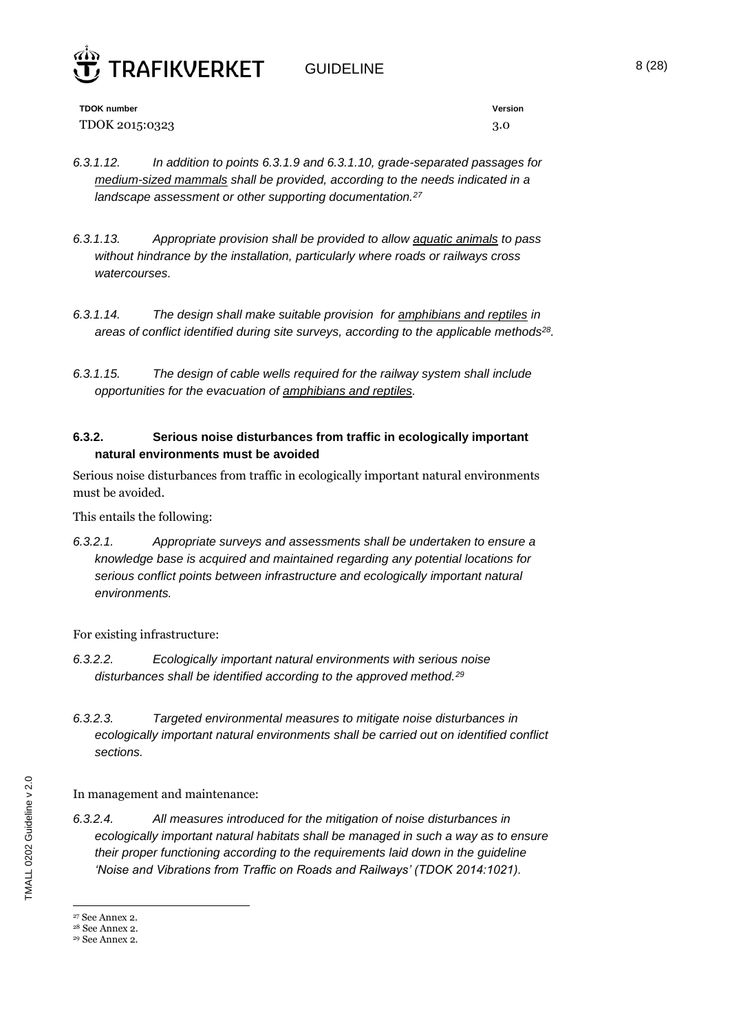

GUIDELINE 8 (28)

**TDOK number Version** TDOK 2015:0323 3.0

- *6.3.1.12. In addition to points 6.3.1.9 and 6.3.1.10, grade-separated passages for medium-sized mammals shall be provided, according to the needs indicated in a landscape assessment or other supporting documentation.<sup>27</sup>*
- *6.3.1.13. Appropriate provision shall be provided to allow aquatic animals to pass without hindrance by the installation, particularly where roads or railways cross watercourses.*
- *6.3.1.14. The design shall make suitable provision for amphibians and reptiles in areas of conflict identified during site surveys, according to the applicable methods<sup>28</sup> .*
- *6.3.1.15. The design of cable wells required for the railway system shall include opportunities for the evacuation of amphibians and reptiles.*

#### **6.3.2. Serious noise disturbances from traffic in ecologically important natural environments must be avoided**

Serious noise disturbances from traffic in ecologically important natural environments must be avoided.

This entails the following:

*6.3.2.1. Appropriate surveys and assessments shall be undertaken to ensure a knowledge base is acquired and maintained regarding any potential locations for serious conflict points between infrastructure and ecologically important natural environments.* 

For existing infrastructure:

- *6.3.2.2. Ecologically important natural environments with serious noise disturbances shall be identified according to the approved method.<sup>29</sup>*
- *6.3.2.3. Targeted environmental measures to mitigate noise disturbances in ecologically important natural environments shall be carried out on identified conflict sections.*

In management and maintenance:

*6.3.2.4. All measures introduced for the mitigation of noise disturbances in ecologically important natural habitats shall be managed in such a way as to ensure their proper functioning according to the requirements laid down in the guideline 'Noise and Vibrations from Traffic on Roads and Railways' (TDOK 2014:1021).*

<sup>27</sup> See Annex 2.

<sup>28</sup> See Annex 2.

<sup>29</sup> See Annex 2.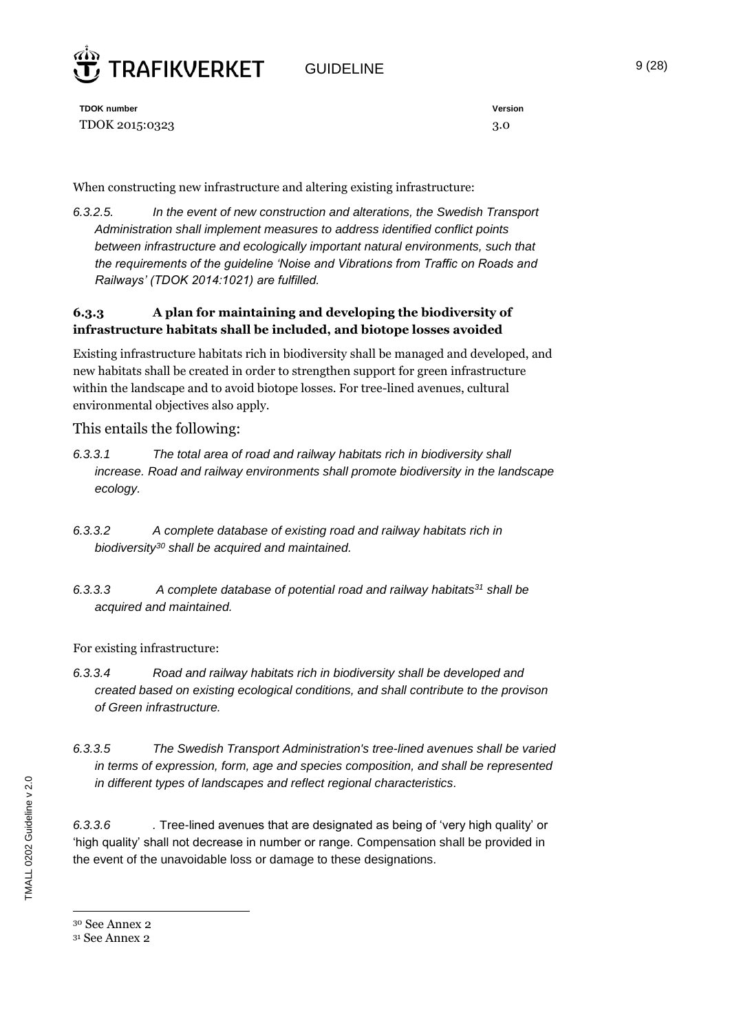

GUIDELINE 9 (28)

**TDOK number Version** TDOK 2015:0323 3.0

When constructing new infrastructure and altering existing infrastructure:

*6.3.2.5. In the event of new construction and alterations, the Swedish Transport Administration shall implement measures to address identified conflict points between infrastructure and ecologically important natural environments, such that the requirements of the guideline 'Noise and Vibrations from Traffic on Roads and Railways' (TDOK 2014:1021) are fulfilled.*

#### **6.3.3 A plan for maintaining and developing the biodiversity of infrastructure habitats shall be included, and biotope losses avoided**

Existing infrastructure habitats rich in biodiversity shall be managed and developed, and new habitats shall be created in order to strengthen support for green infrastructure within the landscape and to avoid biotope losses. For tree-lined avenues, cultural environmental objectives also apply.

#### This entails the following:

- *6.3.3.1 The total area of road and railway habitats rich in biodiversity shall increase. Road and railway environments shall promote biodiversity in the landscape ecology.*
- *6.3.3.2 A complete database of existing road and railway habitats rich in biodiversity<sup>30</sup> shall be acquired and maintained.*
- *6.3.3.3 A complete database of potential road and railway habitats<sup>31</sup> shall be acquired and maintained.*

For existing infrastructure:

- *6.3.3.4 Road and railway habitats rich in biodiversity shall be developed and created based on existing ecological conditions, and shall contribute to the provison of Green infrastructure.*
- *6.3.3.5 The Swedish Transport Administration's tree-lined avenues shall be varied in terms of expression, form, age and species composition, and shall be represented in different types of landscapes and reflect regional characteristics.*

*6.3.3.6 .* Tree-lined avenues that are designated as being of 'very high quality' or 'high quality' shall not decrease in number or range. Compensation shall be provided in the event of the unavoidable loss or damage to these designations.

<sup>30</sup> See Annex 2

<sup>31</sup> See Annex 2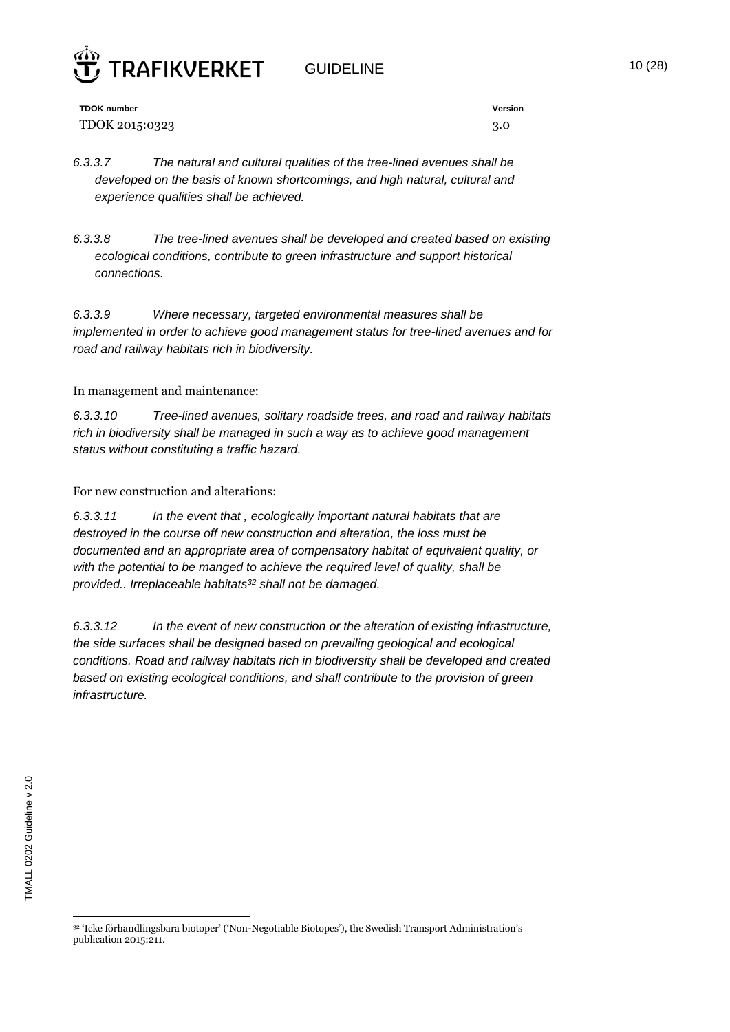

GUIDELINE 10 (28)

**TDOK number Version** TDOK 2015:0323 3.0

*6.3.3.7 The natural and cultural qualities of the tree-lined avenues shall be developed on the basis of known shortcomings, and high natural, cultural and experience qualities shall be achieved.* 

*6.3.3.8 The tree-lined avenues shall be developed and created based on existing ecological conditions, contribute to green infrastructure and support historical connections.* 

*6.3.3.9 Where necessary, targeted environmental measures shall be implemented in order to achieve good management status for tree-lined avenues and for road and railway habitats rich in biodiversity.*

#### In management and maintenance:

*6.3.3.10 Tree-lined avenues, solitary roadside trees, and road and railway habitats rich in biodiversity shall be managed in such a way as to achieve good management status without constituting a traffic hazard.*

For new construction and alterations:

*6.3.3.11 In the event that , ecologically important natural habitats that are destroyed in the course off new construction and alteration, the loss must be documented and an appropriate area of compensatory habitat of equivalent quality, or with the potential to be manged to achieve the required level of quality, shall be provided.. Irreplaceable habitats<sup>32</sup> shall not be damaged.*

*6.3.3.12 In the event of new construction or the alteration of existing infrastructure, the side surfaces shall be designed based on prevailing geological and ecological conditions. Road and railway habitats rich in biodiversity shall be developed and created based on existing ecological conditions, and shall contribute to the provision of green infrastructure.*

 $\overline{a}$ <sup>32</sup> 'Icke förhandlingsbara biotoper' ('Non-Negotiable Biotopes'), the Swedish Transport Administration's publication 2015:211.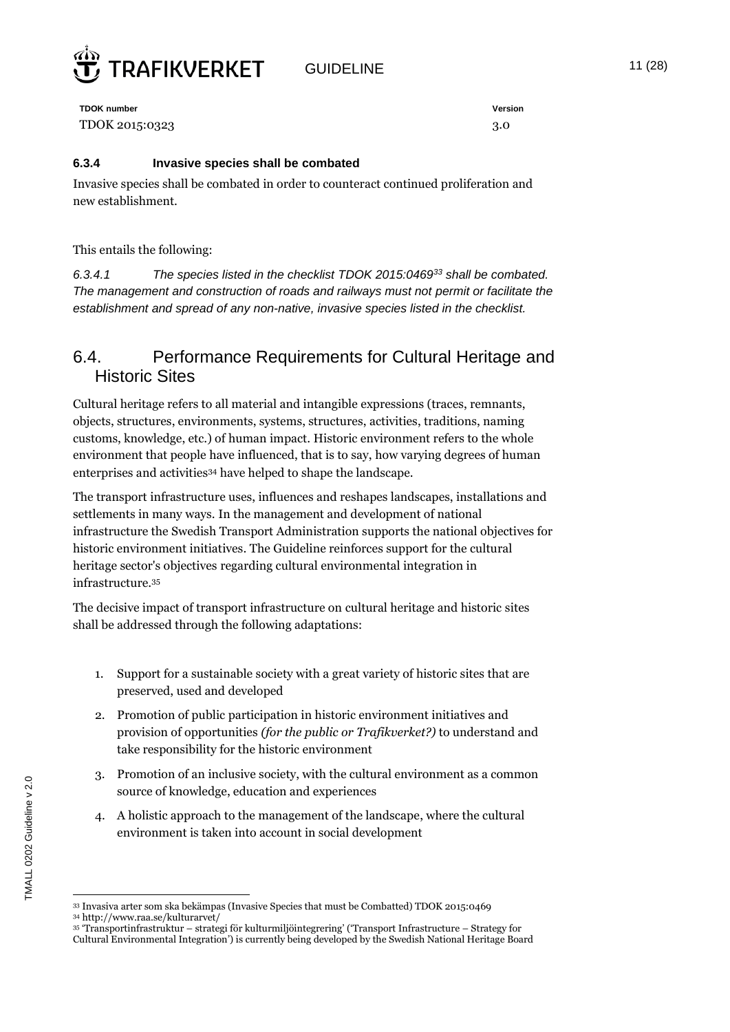

GUIDELINE 11 (28)

**TDOK number Version** TDOK 2015:0323 3.0

#### **6.3.4 Invasive species shall be combated**

Invasive species shall be combated in order to counteract continued proliferation and new establishment.

This entails the following:

*6.3.4.1 The species listed in the checklist TDOK 2015:0469<sup>33</sup> shall be combated. The management and construction of roads and railways must not permit or facilitate the establishment and spread of any non-native, invasive species listed in the checklist.*

### 6.4. Performance Requirements for Cultural Heritage and Historic Sites

Cultural heritage refers to all material and intangible expressions (traces, remnants, objects, structures, environments, systems, structures, activities, traditions, naming customs, knowledge, etc.) of human impact. Historic environment refers to the whole environment that people have influenced, that is to say, how varying degrees of human enterprises and activities<sup>34</sup> have helped to shape the landscape.

The transport infrastructure uses, influences and reshapes landscapes, installations and settlements in many ways. In the management and development of national infrastructure the Swedish Transport Administration supports the national objectives for historic environment initiatives. The Guideline reinforces support for the cultural heritage sector's objectives regarding cultural environmental integration in infrastructure.<sup>35</sup>

The decisive impact of transport infrastructure on cultural heritage and historic sites shall be addressed through the following adaptations:

- 1. Support for a sustainable society with a great variety of historic sites that are preserved, used and developed
- 2. Promotion of public participation in historic environment initiatives and provision of opportunities *(for the public or Trafikverket?)* to understand and take responsibility for the historic environment
- 3. Promotion of an inclusive society, with the cultural environment as a common source of knowledge, education and experiences
- 4. A holistic approach to the management of the landscape, where the cultural environment is taken into account in social development

 $\overline{a}$ <sup>33</sup> Invasiva arter som ska bekämpas (Invasive Species that must be Combatted) TDOK 2015:0469

<sup>34</sup> http://www.raa.se/kulturarvet/

<sup>35</sup> 'Transportinfrastruktur – strategi för kulturmiljöintegrering' ('Transport Infrastructure – Strategy for Cultural Environmental Integration') is currently being developed by the Swedish National Heritage Board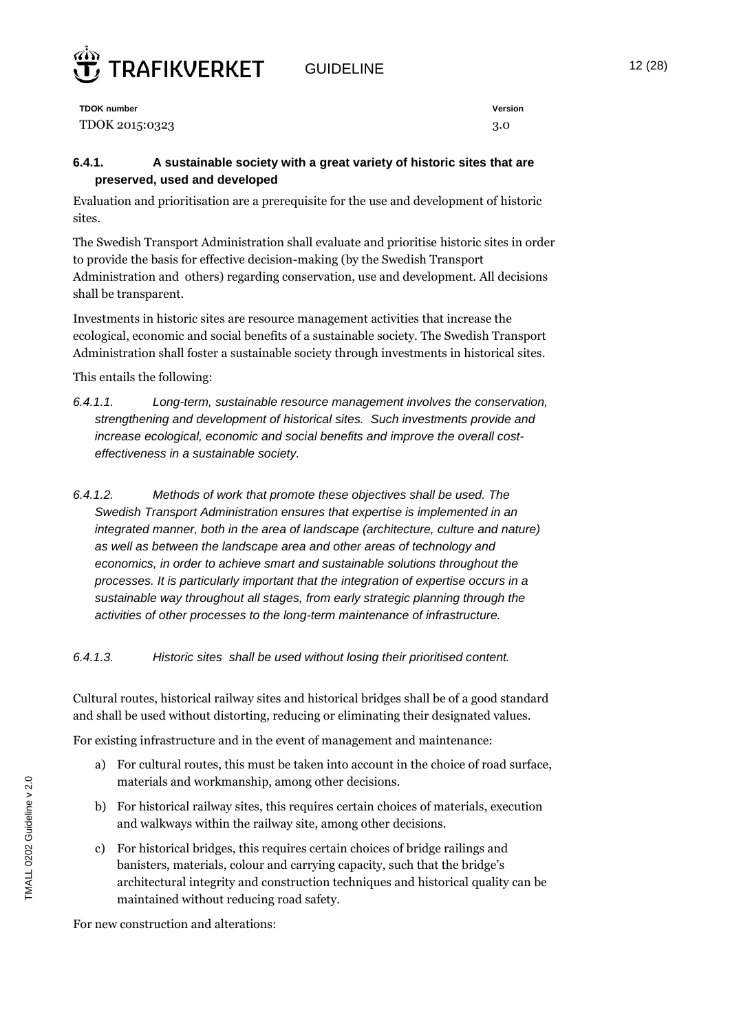

GUIDELINE 12 (28)

#### **6.4.1. A sustainable society with a great variety of historic sites that are preserved, used and developed**

Evaluation and prioritisation are a prerequisite for the use and development of historic sites.

The Swedish Transport Administration shall evaluate and prioritise historic sites in order to provide the basis for effective decision-making (by the Swedish Transport Administration and others) regarding conservation, use and development. All decisions shall be transparent.

Investments in historic sites are resource management activities that increase the ecological, economic and social benefits of a sustainable society. The Swedish Transport Administration shall foster a sustainable society through investments in historical sites.

#### This entails the following:

*6.4.1.1. Long-term, sustainable resource management involves the conservation, strengthening and development of historical sites. Such investments provide and increase ecological, economic and social benefits and improve the overall costeffectiveness in a sustainable society.*

*6.4.1.2. Methods of work that promote these objectives shall be used. The Swedish Transport Administration ensures that expertise is implemented in an integrated manner, both in the area of landscape (architecture, culture and nature) as well as between the landscape area and other areas of technology and economics, in order to achieve smart and sustainable solutions throughout the processes. It is particularly important that the integration of expertise occurs in a sustainable way throughout all stages, from early strategic planning through the activities of other processes to the long-term maintenance of infrastructure.*

#### *6.4.1.3. Historic sites shall be used without losing their prioritised content.*

Cultural routes, historical railway sites and historical bridges shall be of a good standard and shall be used without distorting, reducing or eliminating their designated values.

For existing infrastructure and in the event of management and maintenance:

- a) For cultural routes, this must be taken into account in the choice of road surface, materials and workmanship, among other decisions.
- b) For historical railway sites, this requires certain choices of materials, execution and walkways within the railway site, among other decisions.
- c) For historical bridges, this requires certain choices of bridge railings and banisters, materials, colour and carrying capacity, such that the bridge's architectural integrity and construction techniques and historical quality can be maintained without reducing road safety.

For new construction and alterations: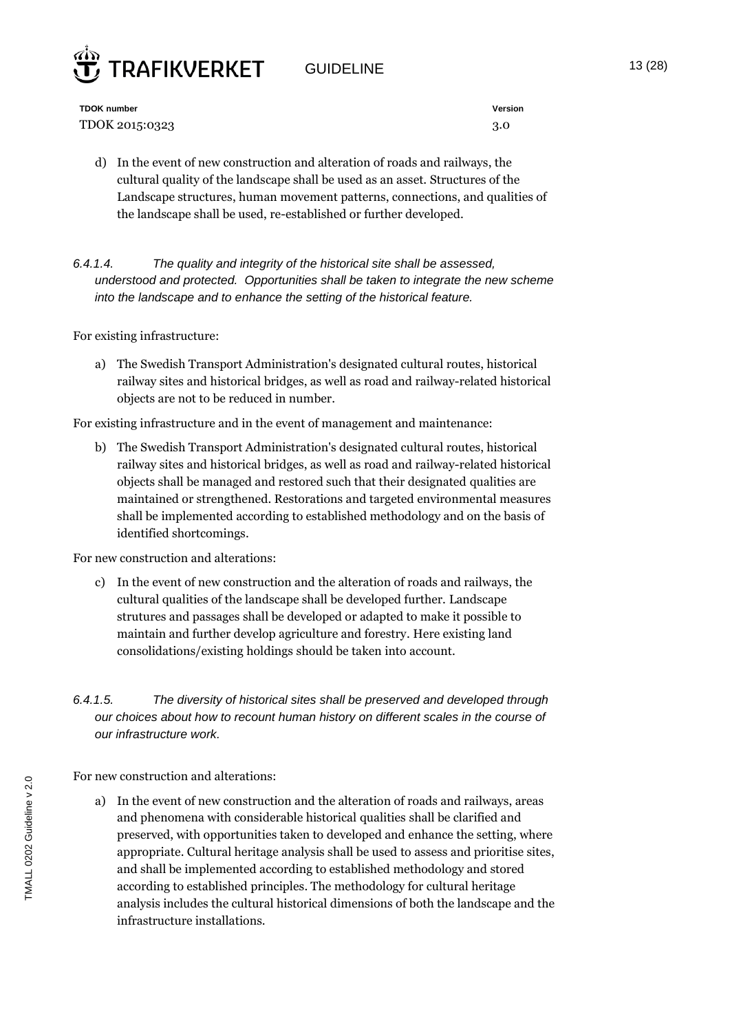## GUIDELINE 13 (28)



**TDOK number Version** TDOK 2015:0323 3.0

d) In the event of new construction and alteration of roads and railways, the cultural quality of the landscape shall be used as an asset. Structures of the Landscape structures, human movement patterns, connections, and qualities of the landscape shall be used, re-established or further developed.

*6.4.1.4. The quality and integrity of the historical site shall be assessed, understood and protected. Opportunities shall be taken to integrate the new scheme into the landscape and to enhance the setting of the historical feature.*

For existing infrastructure:

a) The Swedish Transport Administration's designated cultural routes, historical railway sites and historical bridges, as well as road and railway-related historical objects are not to be reduced in number.

For existing infrastructure and in the event of management and maintenance:

b) The Swedish Transport Administration's designated cultural routes, historical railway sites and historical bridges, as well as road and railway-related historical objects shall be managed and restored such that their designated qualities are maintained or strengthened. Restorations and targeted environmental measures shall be implemented according to established methodology and on the basis of identified shortcomings.

For new construction and alterations:

- c) In the event of new construction and the alteration of roads and railways, the cultural qualities of the landscape shall be developed further. Landscape strutures and passages shall be developed or adapted to make it possible to maintain and further develop agriculture and forestry. Here existing land consolidations/existing holdings should be taken into account.
- *6.4.1.5. The diversity of historical sites shall be preserved and developed through our choices about how to recount human history on different scales in the course of our infrastructure work.*

For new construction and alterations:

a) In the event of new construction and the alteration of roads and railways, areas and phenomena with considerable historical qualities shall be clarified and preserved, with opportunities taken to developed and enhance the setting, where appropriate. Cultural heritage analysis shall be used to assess and prioritise sites, and shall be implemented according to established methodology and stored according to established principles. The methodology for cultural heritage analysis includes the cultural historical dimensions of both the landscape and the infrastructure installations.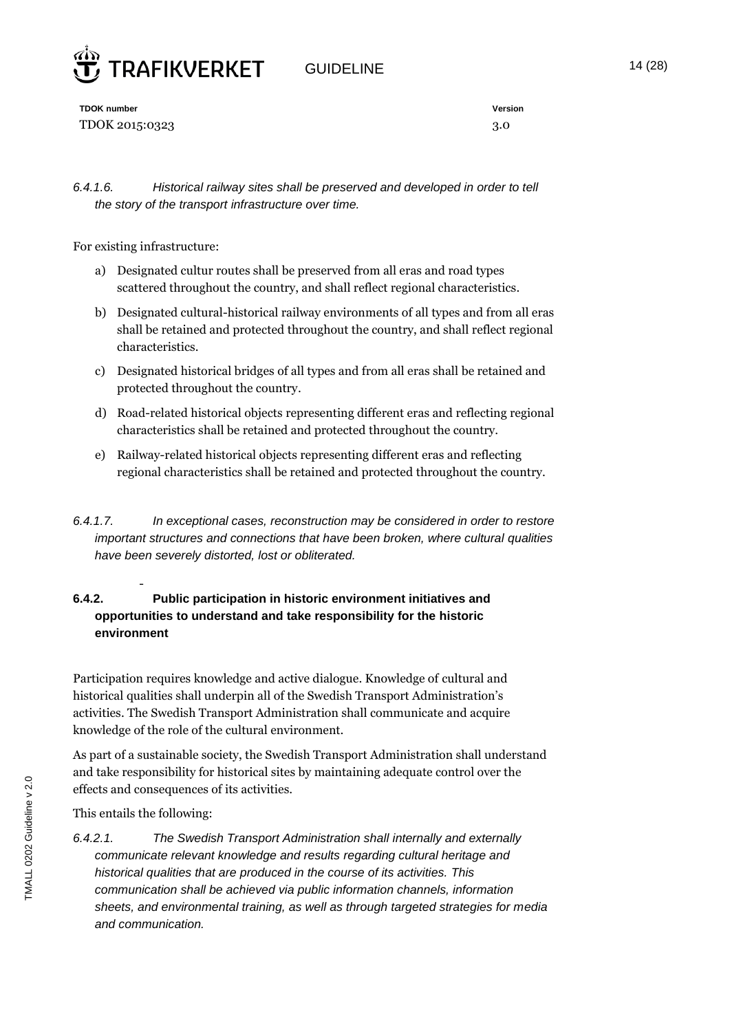

GUIDELINE 14 (28)

**TDOK number Version** TDOK 2015:0323 3.0

*6.4.1.6. Historical railway sites shall be preserved and developed in order to tell the story of the transport infrastructure over time.* 

For existing infrastructure:

- a) Designated cultur routes shall be preserved from all eras and road types scattered throughout the country, and shall reflect regional characteristics.
- b) Designated cultural-historical railway environments of all types and from all eras shall be retained and protected throughout the country, and shall reflect regional characteristics.
- c) Designated historical bridges of all types and from all eras shall be retained and protected throughout the country.
- d) Road-related historical objects representing different eras and reflecting regional characteristics shall be retained and protected throughout the country.
- e) Railway-related historical objects representing different eras and reflecting regional characteristics shall be retained and protected throughout the country.
- *6.4.1.7. In exceptional cases, reconstruction may be considered in order to restore important structures and connections that have been broken, where cultural qualities have been severely distorted, lost or obliterated.*

#### **6.4.2. Public participation in historic environment initiatives and opportunities to understand and take responsibility for the historic environment**

Participation requires knowledge and active dialogue. Knowledge of cultural and historical qualities shall underpin all of the Swedish Transport Administration's activities. The Swedish Transport Administration shall communicate and acquire knowledge of the role of the cultural environment.

As part of a sustainable society, the Swedish Transport Administration shall understand and take responsibility for historical sites by maintaining adequate control over the effects and consequences of its activities.

This entails the following:

-

*6.4.2.1. The Swedish Transport Administration shall internally and externally communicate relevant knowledge and results regarding cultural heritage and historical qualities that are produced in the course of its activities. This communication shall be achieved via public information channels, information sheets, and environmental training, as well as through targeted strategies for media and communication.*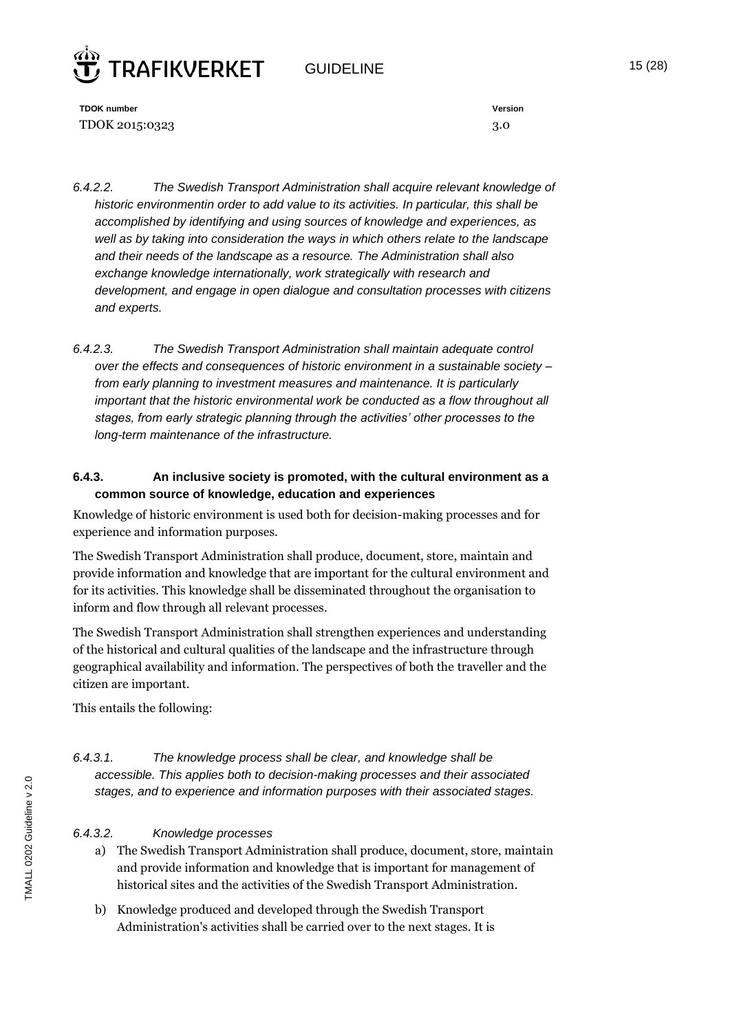## $G$ UIDELINE  $15 (28)$



**TDOK number Version** TDOK 2015:0323 3.0

- *6.4.2.2. The Swedish Transport Administration shall acquire relevant knowledge of historic environmentin order to add value to its activities. In particular, this shall be accomplished by identifying and using sources of knowledge and experiences, as well as by taking into consideration the ways in which others relate to the landscape and their needs of the landscape as a resource. The Administration shall also exchange knowledge internationally, work strategically with research and development, and engage in open dialogue and consultation processes with citizens and experts.*
- *6.4.2.3. The Swedish Transport Administration shall maintain adequate control over the effects and consequences of historic environment in a sustainable society – from early planning to investment measures and maintenance. It is particularly important that the historic environmental work be conducted as a flow throughout all stages, from early strategic planning through the activities' other processes to the long-term maintenance of the infrastructure.*

#### **6.4.3. An inclusive society is promoted, with the cultural environment as a common source of knowledge, education and experiences**

Knowledge of historic environment is used both for decision-making processes and for experience and information purposes.

The Swedish Transport Administration shall produce, document, store, maintain and provide information and knowledge that are important for the cultural environment and for its activities. This knowledge shall be disseminated throughout the organisation to inform and flow through all relevant processes.

The Swedish Transport Administration shall strengthen experiences and understanding of the historical and cultural qualities of the landscape and the infrastructure through geographical availability and information. The perspectives of both the traveller and the citizen are important.

This entails the following:

*6.4.3.1. The knowledge process shall be clear, and knowledge shall be accessible. This applies both to decision-making processes and their associated stages, and to experience and information purposes with their associated stages.*

#### *6.4.3.2. Knowledge processes*

- a) The Swedish Transport Administration shall produce, document, store, maintain and provide information and knowledge that is important for management of historical sites and the activities of the Swedish Transport Administration.
- b) Knowledge produced and developed through the Swedish Transport Administration's activities shall be carried over to the next stages. It is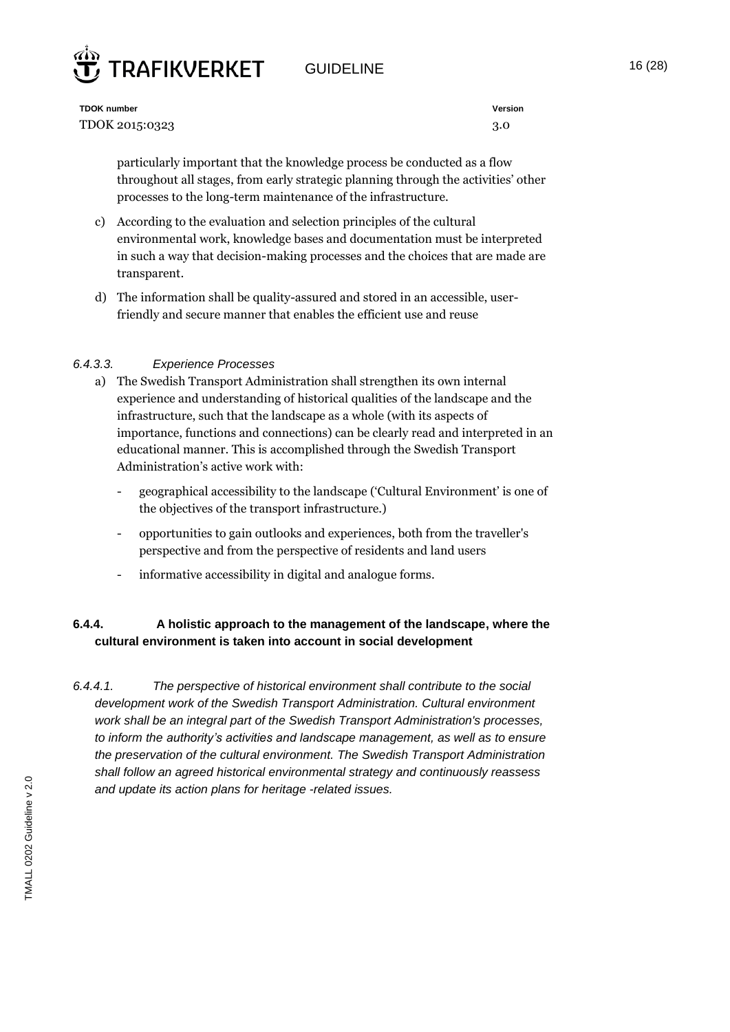



**TDOK number Version** TDOK 2015:0323 3.0

particularly important that the knowledge process be conducted as a flow throughout all stages, from early strategic planning through the activities' other processes to the long-term maintenance of the infrastructure.

- c) According to the evaluation and selection principles of the cultural environmental work, knowledge bases and documentation must be interpreted in such a way that decision-making processes and the choices that are made are transparent.
- d) The information shall be quality-assured and stored in an accessible, userfriendly and secure manner that enables the efficient use and reuse

#### *6.4.3.3. Experience Processes*

- a) The Swedish Transport Administration shall strengthen its own internal experience and understanding of historical qualities of the landscape and the infrastructure, such that the landscape as a whole (with its aspects of importance, functions and connections) can be clearly read and interpreted in an educational manner. This is accomplished through the Swedish Transport Administration's active work with:
	- geographical accessibility to the landscape ('Cultural Environment' is one of the objectives of the transport infrastructure.)
	- opportunities to gain outlooks and experiences, both from the traveller's perspective and from the perspective of residents and land users
	- informative accessibility in digital and analogue forms.

#### **6.4.4. A holistic approach to the management of the landscape, where the cultural environment is taken into account in social development**

*6.4.4.1. The perspective of historical environment shall contribute to the social development work of the Swedish Transport Administration. Cultural environment work shall be an integral part of the Swedish Transport Administration's processes, to inform the authority's activities and landscape management, as well as to ensure the preservation of the cultural environment. The Swedish Transport Administration shall follow an agreed historical environmental strategy and continuously reassess and update its action plans for heritage -related issues.*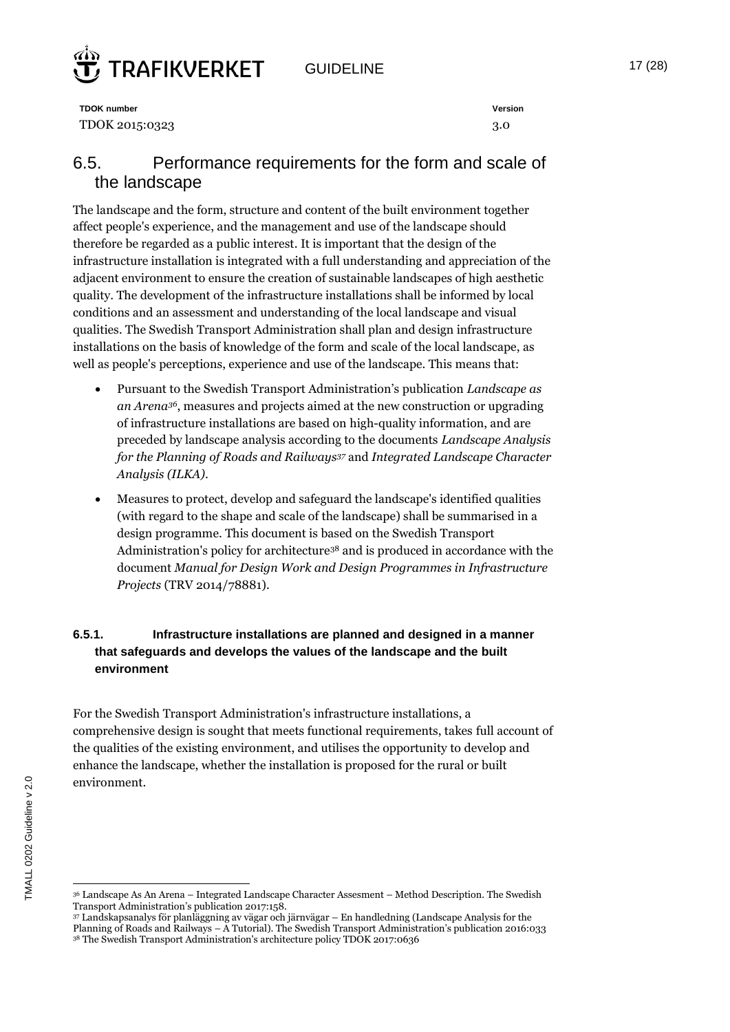## **RAFIKVERKET**

GUIDELINE 17 (28)

**TDOK number Version** TDOK 2015:0323 3.0

## 6.5. Performance requirements for the form and scale of the landscape

The landscape and the form, structure and content of the built environment together affect people's experience, and the management and use of the landscape should therefore be regarded as a public interest. It is important that the design of the infrastructure installation is integrated with a full understanding and appreciation of the adjacent environment to ensure the creation of sustainable landscapes of high aesthetic quality. The development of the infrastructure installations shall be informed by local conditions and an assessment and understanding of the local landscape and visual qualities*.* The Swedish Transport Administration shall plan and design infrastructure installations on the basis of knowledge of the form and scale of the local landscape, as well as people's perceptions, experience and use of the landscape. This means that:

- Pursuant to the Swedish Transport Administration's publication *Landscape as an Arena36*, measures and projects aimed at the new construction or upgrading of infrastructure installations are based on high-quality information, and are preceded by landscape analysis according to the documents *Landscape Analysis for the Planning of Roads and Railways<sup>37</sup>* and *Integrated Landscape Character Analysis (ILKA)*.
- Measures to protect, develop and safeguard the landscape's identified qualities (with regard to the shape and scale of the landscape) shall be summarised in a design programme. This document is based on the Swedish Transport Administration's policy for architecture<sup>38</sup> and is produced in accordance with the document *Manual for Design Work and Design Programmes in Infrastructure Projects* (TRV 2014/78881).

#### **6.5.1. Infrastructure installations are planned and designed in a manner that safeguards and develops the values of the landscape and the built environment**

For the Swedish Transport Administration's infrastructure installations, a comprehensive design is sought that meets functional requirements, takes full account of the qualities of the existing environment, and utilises the opportunity to develop and enhance the landscape, whether the installation is proposed for the rural or built environment.

 $\overline{a}$ <sup>36</sup> Landscape As An Arena – Integrated Landscape Character Assesment – Method Description. The Swedish Transport Administration's publication 2017:158.

<sup>37</sup> Landskapsanalys för planläggning av vägar och järnvägar – En handledning (Landscape Analysis for the Planning of Roads and Railways – A Tutorial). The Swedish Transport Administration's publication 2016:033 <sup>38</sup> The Swedish Transport Administration's architecture policy TDOK 2017:0636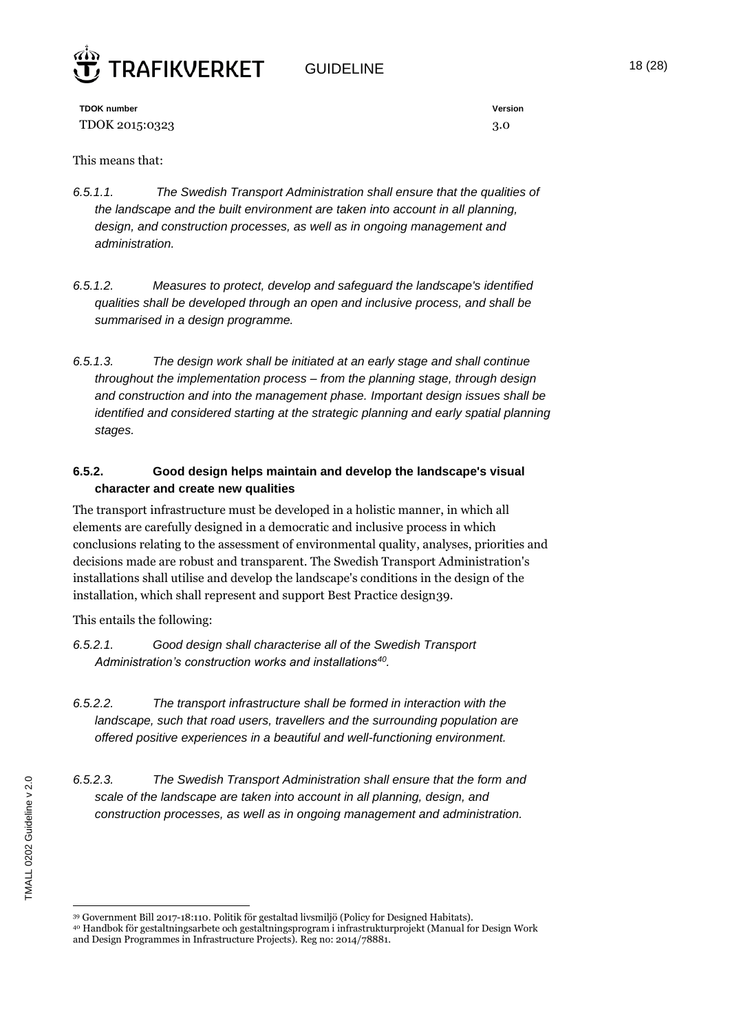

GUIDELINE 18 (28)

**TDOK number Version** TDOK 2015:0323 3.0

This means that:

- *6.5.1.1. The Swedish Transport Administration shall ensure that the qualities of the landscape and the built environment are taken into account in all planning, design, and construction processes, as well as in ongoing management and administration.*
- *6.5.1.2. Measures to protect, develop and safeguard the landscape's identified qualities shall be developed through an open and inclusive process, and shall be summarised in a design programme.*
- *6.5.1.3. The design work shall be initiated at an early stage and shall continue throughout the implementation process – from the planning stage, through design and construction and into the management phase. Important design issues shall be identified and considered starting at the strategic planning and early spatial planning stages.*

#### **6.5.2. Good design helps maintain and develop the landscape's visual character and create new qualities**

The transport infrastructure must be developed in a holistic manner, in which all elements are carefully designed in a democratic and inclusive process in which conclusions relating to the assessment of environmental quality, analyses, priorities and decisions made are robust and transparent. The Swedish Transport Administration's installations shall utilise and develop the landscape's conditions in the design of the installation, which shall represent and support Best Practice design39.

This entails the following:

- *6.5.2.1. Good design shall characterise all of the Swedish Transport Administration's construction works and installations<sup>40</sup> .*
- *6.5.2.2. The transport infrastructure shall be formed in interaction with the landscape, such that road users, travellers and the surrounding population are offered positive experiences in a beautiful and well-functioning environment.*
- *6.5.2.3. The Swedish Transport Administration shall ensure that the form and scale of the landscape are taken into account in all planning, design, and construction processes, as well as in ongoing management and administration.*

<sup>39</sup> Government Bill 2017-18:110. Politik för gestaltad livsmiljö (Policy for Designed Habitats).

<sup>40</sup> Handbok för gestaltningsarbete och gestaltningsprogram i infrastrukturprojekt (Manual for Design Work and Design Programmes in Infrastructure Projects). Reg no: 2014/78881.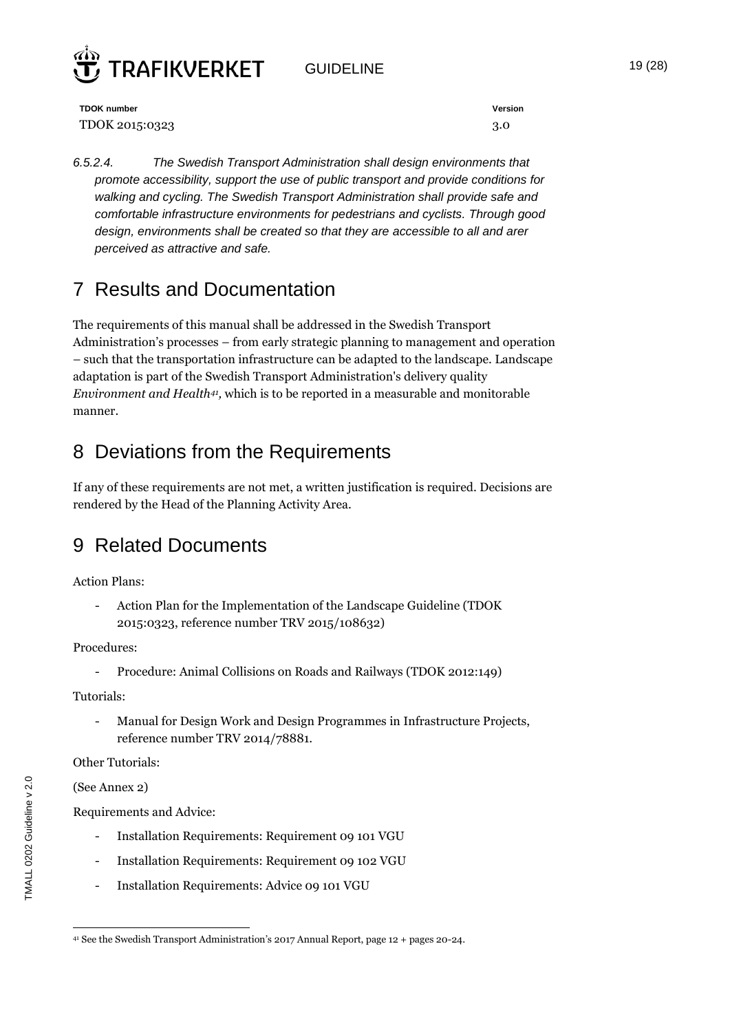

GUIDELINE 19 (28)

**TDOK number Version** TDOK 2015:0323 3.0

*6.5.2.4. The Swedish Transport Administration shall design environments that promote accessibility, support the use of public transport and provide conditions for walking and cycling. The Swedish Transport Administration shall provide safe and comfortable infrastructure environments for pedestrians and cyclists. Through good design, environments shall be created so that they are accessible to all and arer perceived as attractive and safe.*

## 7 Results and Documentation

The requirements of this manual shall be addressed in the Swedish Transport Administration's processes – from early strategic planning to management and operation – such that the transportation infrastructure can be adapted to the landscape. Landscape adaptation is part of the Swedish Transport Administration's delivery quality *Environment and Health<sup>41</sup> ,* which is to be reported in a measurable and monitorable manner.

## 8 Deviations from the Requirements

If any of these requirements are not met, a written justification is required. Decisions are rendered by the Head of the Planning Activity Area.

## 9 Related Documents

Action Plans:

- Action Plan for the Implementation of the Landscape Guideline (TDOK 2015:0323, reference number TRV 2015/108632)

Procedures:

Procedure: Animal Collisions on Roads and Railways (TDOK 2012:149)

Tutorials:

Manual for Design Work and Design Programmes in Infrastructure Projects, reference number TRV 2014/78881.

Other Tutorials:

(See Annex 2)

Requirements and Advice:

- Installation Requirements: Requirement 09 101 VGU
- Installation Requirements: Requirement 09 102 VGU
- Installation Requirements: Advice 09 101 VGU

 $\overline{a}$ <sup>41</sup> See the Swedish Transport Administration's 2017 Annual Report, page 12 + pages 20-24.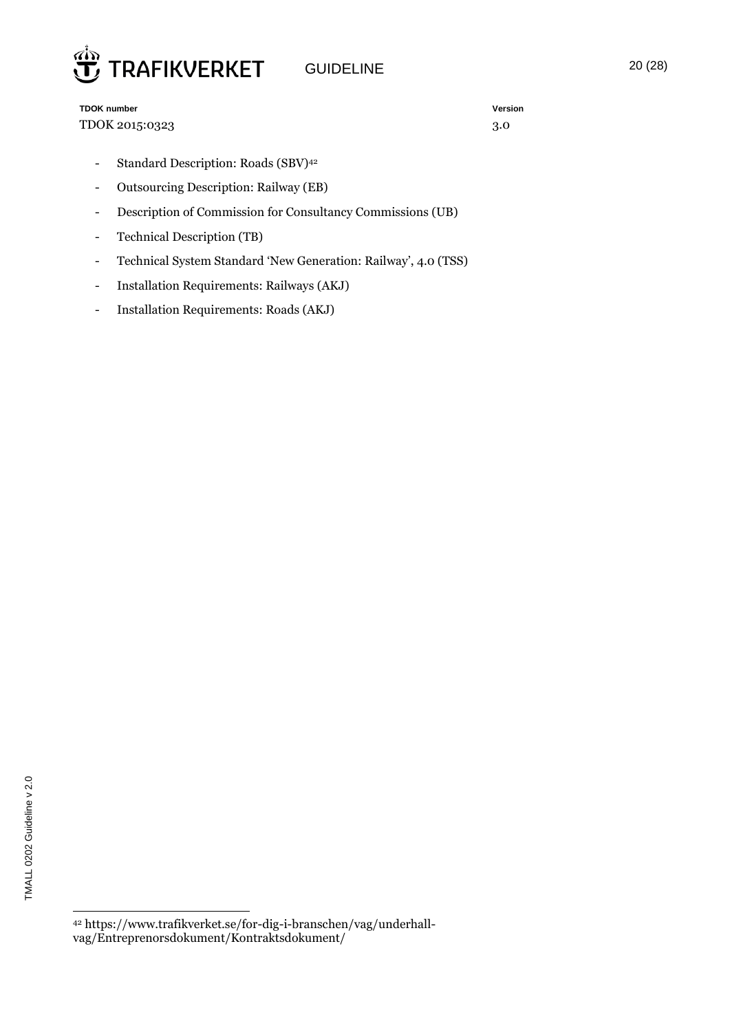

**TDOK number Version** TDOK 2015:0323 3.0

- Standard Description: Roads (SBV)<sup>42</sup>
- Outsourcing Description: Railway (EB)
- Description of Commission for Consultancy Commissions (UB)
- Technical Description (TB)
- Technical System Standard 'New Generation: Railway', 4.0 (TSS)
- Installation Requirements: Railways (AKJ)
- Installation Requirements: Roads (AKJ)

<sup>42</sup> https://www.trafikverket.se/for-dig-i-branschen/vag/underhallvag/Entreprenorsdokument/Kontraktsdokument/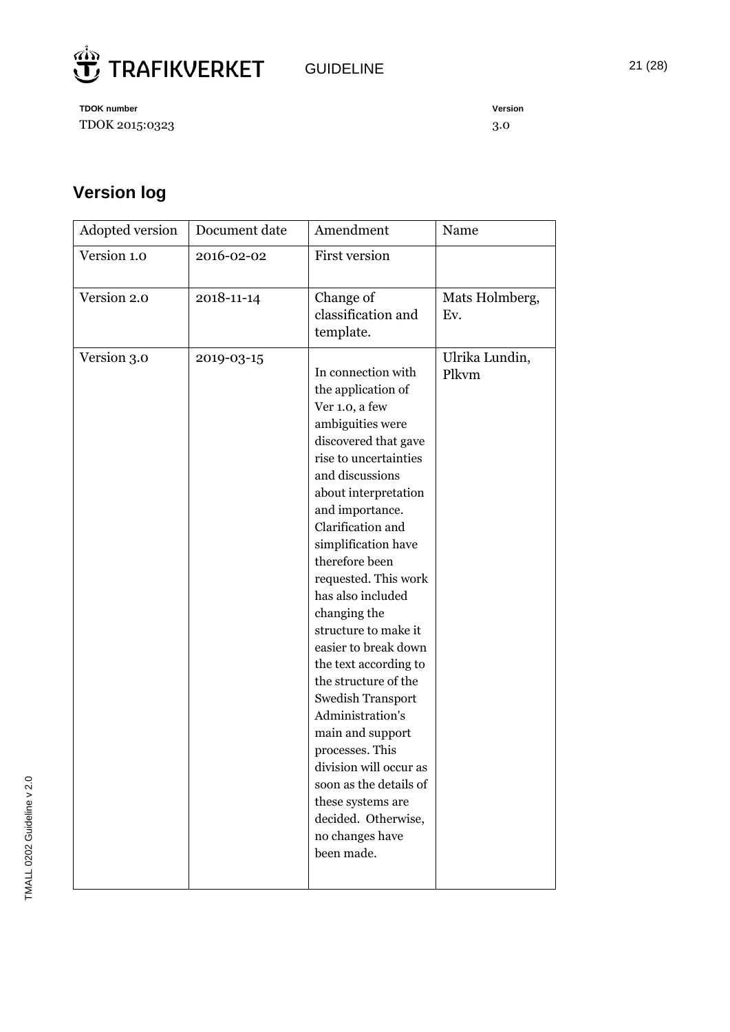

**TDOK** number TDOK 2015:0323

| Version |  |
|---------|--|
| 3.0     |  |

## **Version log**

| Adopted version | Document date | Amendment                                                                                                                                                                                                                                                                                                                                                                                                                                                                                                                                                                                                                                         | Name                    |
|-----------------|---------------|---------------------------------------------------------------------------------------------------------------------------------------------------------------------------------------------------------------------------------------------------------------------------------------------------------------------------------------------------------------------------------------------------------------------------------------------------------------------------------------------------------------------------------------------------------------------------------------------------------------------------------------------------|-------------------------|
| Version 1.0     | 2016-02-02    | <b>First version</b>                                                                                                                                                                                                                                                                                                                                                                                                                                                                                                                                                                                                                              |                         |
| Version 2.0     | 2018-11-14    | Change of<br>classification and<br>template.                                                                                                                                                                                                                                                                                                                                                                                                                                                                                                                                                                                                      | Mats Holmberg,<br>Ev.   |
| Version 3.0     | 2019-03-15    | In connection with<br>the application of<br>Ver 1.0, a few<br>ambiguities were<br>discovered that gave<br>rise to uncertainties<br>and discussions<br>about interpretation<br>and importance.<br>Clarification and<br>simplification have<br>therefore been<br>requested. This work<br>has also included<br>changing the<br>structure to make it<br>easier to break down<br>the text according to<br>the structure of the<br><b>Swedish Transport</b><br>Administration's<br>main and support<br>processes. This<br>division will occur as<br>soon as the details of<br>these systems are<br>decided. Otherwise,<br>no changes have<br>been made. | Ulrika Lundin,<br>Plkvm |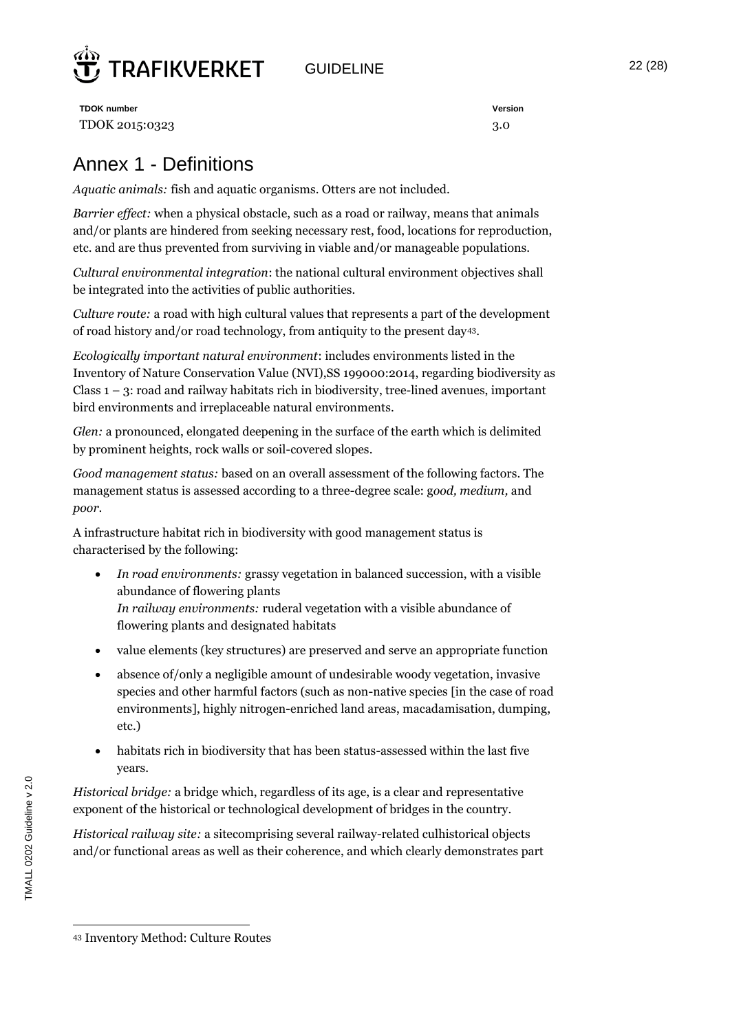

GUIDELINE 22 (28)

**TDOK number Version** TDOK 2015:0323 3.0

## Annex 1 - Definitions

*Aquatic animals:* fish and aquatic organisms. Otters are not included.

*Barrier effect:* when a physical obstacle, such as a road or railway, means that animals and/or plants are hindered from seeking necessary rest, food, locations for reproduction, etc. and are thus prevented from surviving in viable and/or manageable populations.

*Cultural environmental integration*: the national cultural environment objectives shall be integrated into the activities of public authorities.

*Culture route:* a road with high cultural values that represents a part of the development of road history and/or road technology, from antiquity to the present day43.

*Ecologically important natural environment*: includes environments listed in the Inventory of Nature Conservation Value (NVI),SS 199000:2014, regarding biodiversity as Class  $1 - 3$ : road and railway habitats rich in biodiversity, tree-lined avenues, important bird environments and irreplaceable natural environments.

*Glen:* a pronounced, elongated deepening in the surface of the earth which is delimited by prominent heights, rock walls or soil-covered slopes.

*Good management status:* based on an overall assessment of the following factors. The management status is assessed according to a three-degree scale: g*ood, medium,* and *poor*.

A infrastructure habitat rich in biodiversity with good management status is characterised by the following:

- *In road environments:* grassy vegetation in balanced succession, with a visible abundance of flowering plants *In railway environments:* ruderal vegetation with a visible abundance of flowering plants and designated habitats
- value elements (key structures) are preserved and serve an appropriate function
- absence of/only a negligible amount of undesirable woody vegetation, invasive species and other harmful factors (such as non-native species [in the case of road environments], highly nitrogen-enriched land areas, macadamisation, dumping, etc.)
- habitats rich in biodiversity that has been status-assessed within the last five years.

*Historical bridge:* a bridge which, regardless of its age, is a clear and representative exponent of the historical or technological development of bridges in the country.

*Historical railway site:* a sitecomprising several railway-related culhistorical objects and/or functional areas as well as their coherence, and which clearly demonstrates part

 $\overline{a}$ <sup>43</sup> Inventory Method: Culture Routes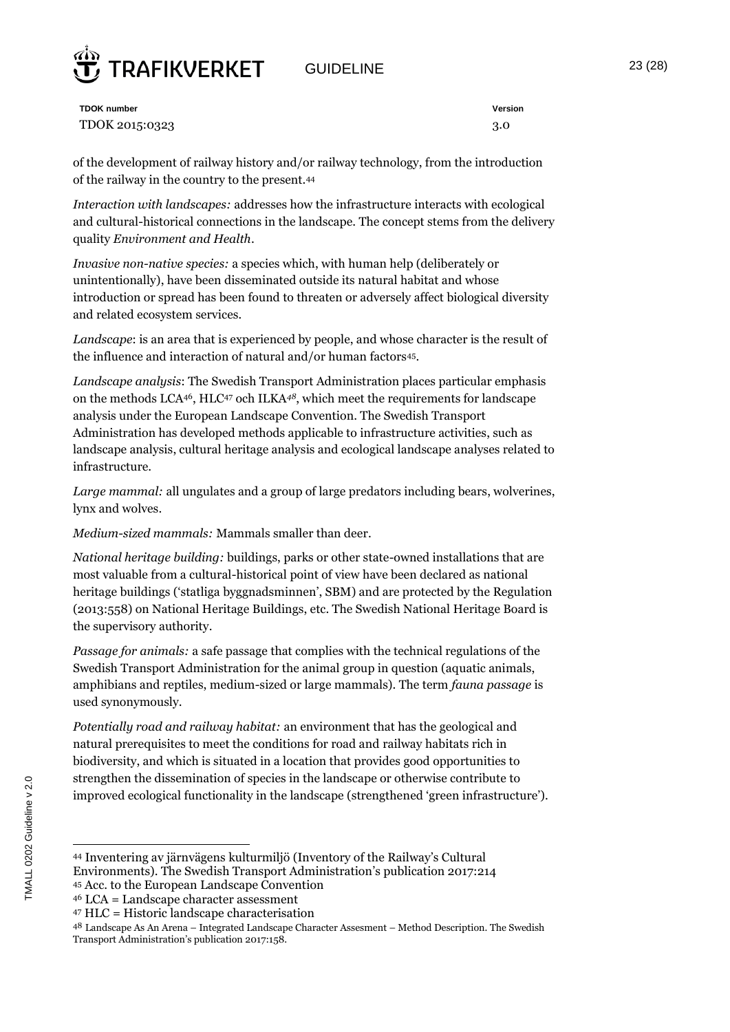## GUIDELINE 23 (28)



**TDOK number Version** TDOK 2015:0323 3.0

of the development of railway history and/or railway technology, from the introduction of the railway in the country to the present.<sup>44</sup>

*Interaction with landscapes:* addresses how the infrastructure interacts with ecological and cultural-historical connections in the landscape. The concept stems from the delivery quality *Environment and Health*.

*Invasive non-native species:* a species which, with human help (deliberately or unintentionally), have been disseminated outside its natural habitat and whose introduction or spread has been found to threaten or adversely affect biological diversity and related ecosystem services*.* 

*Landscape*: is an area that is experienced by people, and whose character is the result of the influence and interaction of natural and/or human factors<sup>45</sup>.

*Landscape analysis*: The Swedish Transport Administration places particular emphasis on the methods LCA46, HLC<sup>47</sup> och ILKA*48*, which meet the requirements for landscape analysis under the European Landscape Convention. The Swedish Transport Administration has developed methods applicable to infrastructure activities, such as landscape analysis, cultural heritage analysis and ecological landscape analyses related to infrastructure.

*Large mammal:* all ungulates and a group of large predators including bears, wolverines, lynx and wolves.

*Medium-sized mammals:* Mammals smaller than deer.

*National heritage building:* buildings, parks or other state-owned installations that are most valuable from a cultural-historical point of view have been declared as national heritage buildings ('statliga byggnadsminnen', SBM) and are protected by the Regulation (2013:558) on National Heritage Buildings, etc. The Swedish National Heritage Board is the supervisory authority.

*Passage for animals:* a safe passage that complies with the technical regulations of the Swedish Transport Administration for the animal group in question (aquatic animals, amphibians and reptiles, medium-sized or large mammals). The term *fauna passage* is used synonymously.

*Potentially road and railway habitat:* an environment that has the geological and natural prerequisites to meet the conditions for road and railway habitats rich in biodiversity, and which is situated in a location that provides good opportunities to strengthen the dissemination of species in the landscape or otherwise contribute to improved ecological functionality in the landscape (strengthened 'green infrastructure').

<sup>44</sup> Inventering av järnvägens kulturmiljö (Inventory of the Railway's Cultural Environments). The Swedish Transport Administration's publication 2017:214

<sup>45</sup> Acc. to the European Landscape Convention

<sup>46</sup> LCA = Landscape character assessment

<sup>47</sup> HLC = Historic landscape characterisation

<sup>48</sup> Landscape As An Arena – Integrated Landscape Character Assesment – Method Description. The Swedish Transport Administration's publication 2017:158.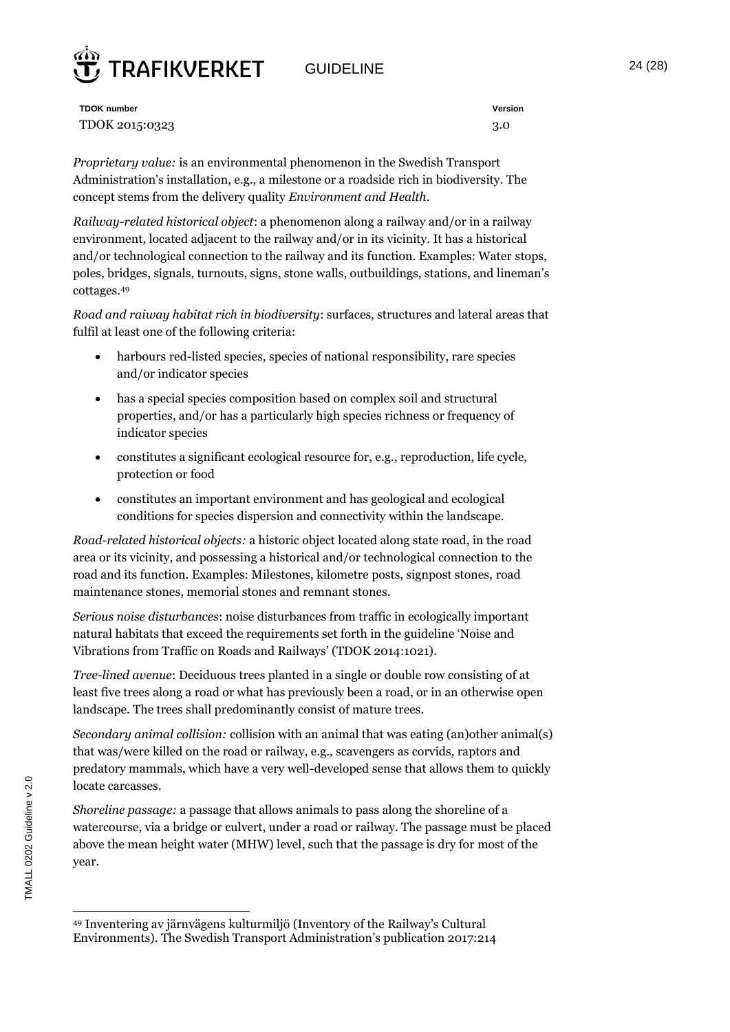## GUIDELINE 24 (28)



**TDOK number Version** TDOK 2015:0323 3.0

*Proprietary value:* is an environmental phenomenon in the Swedish Transport Administration's installation, e.g., a milestone or a roadside rich in biodiversity. The concept stems from the delivery quality *Environment and Health*.

*Railway-related historical object*: a phenomenon along a railway and/or in a railway environment, located adjacent to the railway and/or in its vicinity. It has a historical and/or technological connection to the railway and its function. Examples: Water stops, poles, bridges, signals, turnouts, signs, stone walls, outbuildings, stations, and lineman's cottages.<sup>49</sup>

*Road and raiway habitat rich in biodiversity*: surfaces, structures and lateral areas that fulfil at least one of the following criteria:

- harbours red-listed species, species of national responsibility, rare species and/or indicator species
- has a special species composition based on complex soil and structural properties, and/or has a particularly high species richness or frequency of indicator species
- constitutes a significant ecological resource for, e.g., reproduction, life cycle, protection or food
- constitutes an important environment and has geological and ecological conditions for species dispersion and connectivity within the landscape.

*Road-related historical objects:* a historic object located along state road, in the road area or its vicinity, and possessing a historical and/or technological connection to the road and its function. Examples: Milestones, kilometre posts, signpost stones, road maintenance stones, memorial stones and remnant stones.

*Serious noise disturbances*: noise disturbances from traffic in ecologically important natural habitats that exceed the requirements set forth in the guideline 'Noise and Vibrations from Traffic on Roads and Railways' (TDOK 2014:1021).

*Tree-lined avenue*: Deciduous trees planted in a single or double row consisting of at least five trees along a road or what has previously been a road, or in an otherwise open landscape. The trees shall predominantly consist of mature trees.

*Secondary animal collision:* collision with an animal that was eating (an)other animal(s) that was/were killed on the road or railway, e.g., scavengers as corvids, raptors and predatory mammals, which have a very well-developed sense that allows them to quickly locate carcasses.

*Shoreline passage:* a passage that allows animals to pass along the shoreline of a watercourse, via a bridge or culvert, under a road or railway. The passage must be placed above the mean height water (MHW) level, such that the passage is dry for most of the year.

 $\overline{a}$ <sup>49</sup> Inventering av järnvägens kulturmiljö (Inventory of the Railway's Cultural Environments). The Swedish Transport Administration's publication 2017:214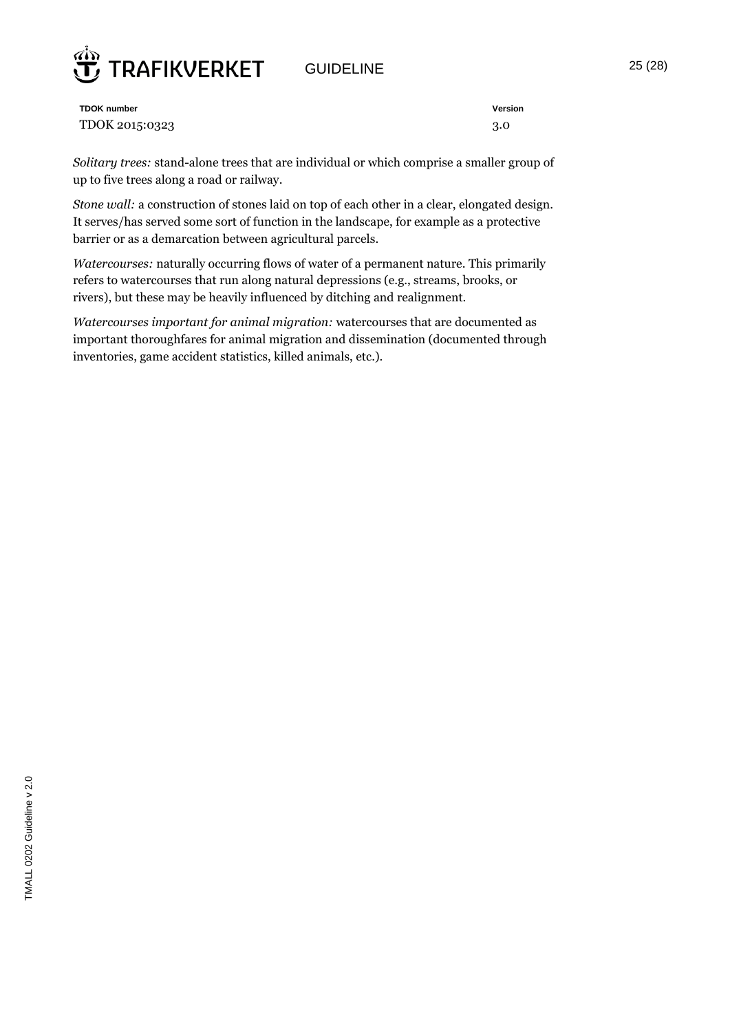

GUIDELINE 25 (28)

**TDOK number Version** TDOK 2015:0323 3.0

*Solitary trees:* stand-alone trees that are individual or which comprise a smaller group of up to five trees along a road or railway.

*Stone wall:* a construction of stones laid on top of each other in a clear, elongated design. It serves/has served some sort of function in the landscape, for example as a protective barrier or as a demarcation between agricultural parcels.

*Watercourses:* naturally occurring flows of water of a permanent nature. This primarily refers to watercourses that run along natural depressions (e.g., streams, brooks, or rivers), but these may be heavily influenced by ditching and realignment.

*Watercourses important for animal migration:* watercourses that are documented as important thoroughfares for animal migration and dissemination (documented through inventories, game accident statistics, killed animals, etc.).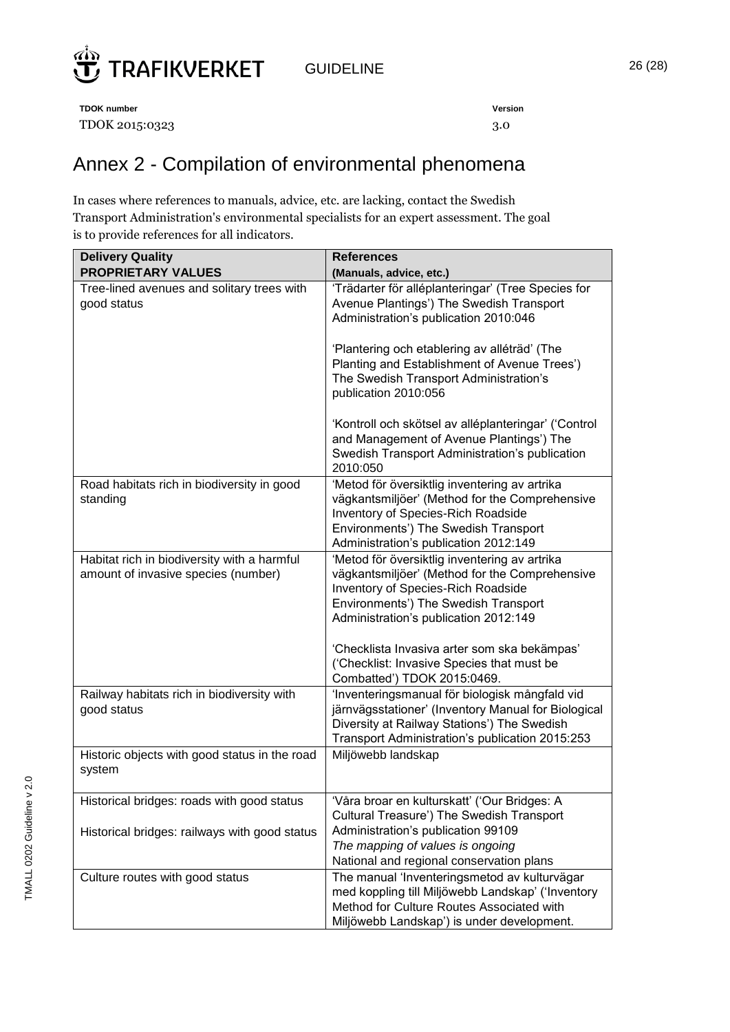

GUIDELINE 26 (28)

**TDOK number Version** TDOK 2015:0323 3.0

## Annex 2 - Compilation of environmental phenomena

In cases where references to manuals, advice, etc. are lacking, contact the Swedish Transport Administration's environmental specialists for an expert assessment. The goal is to provide references for all indicators.

| <b>Delivery Quality</b>                                                            | <b>References</b>                                                                                                                                                                                                      |
|------------------------------------------------------------------------------------|------------------------------------------------------------------------------------------------------------------------------------------------------------------------------------------------------------------------|
| <b>PROPRIETARY VALUES</b>                                                          | (Manuals, advice, etc.)                                                                                                                                                                                                |
| Tree-lined avenues and solitary trees with<br>good status                          | 'Trädarter för alléplanteringar' (Tree Species for<br>Avenue Plantings') The Swedish Transport<br>Administration's publication 2010:046                                                                                |
|                                                                                    | 'Plantering och etablering av alléträd' (The<br>Planting and Establishment of Avenue Trees')<br>The Swedish Transport Administration's<br>publication 2010:056                                                         |
|                                                                                    | 'Kontroll och skötsel av alléplanteringar' ('Control<br>and Management of Avenue Plantings') The<br>Swedish Transport Administration's publication<br>2010:050                                                         |
| Road habitats rich in biodiversity in good<br>standing                             | 'Metod för översiktlig inventering av artrika<br>vägkantsmiljöer' (Method for the Comprehensive<br>Inventory of Species-Rich Roadside<br>Environments') The Swedish Transport<br>Administration's publication 2012:149 |
| Habitat rich in biodiversity with a harmful<br>amount of invasive species (number) | 'Metod för översiktlig inventering av artrika<br>vägkantsmiljöer' (Method for the Comprehensive<br>Inventory of Species-Rich Roadside<br>Environments') The Swedish Transport<br>Administration's publication 2012:149 |
|                                                                                    | 'Checklista Invasiva arter som ska bekämpas'<br>('Checklist: Invasive Species that must be<br>Combatted') TDOK 2015:0469.                                                                                              |
| Railway habitats rich in biodiversity with<br>good status                          | 'Inventeringsmanual för biologisk mångfald vid<br>järnvägsstationer' (Inventory Manual for Biological<br>Diversity at Railway Stations') The Swedish<br>Transport Administration's publication 2015:253                |
| Historic objects with good status in the road<br>system                            | Miljöwebb landskap                                                                                                                                                                                                     |
| Historical bridges: roads with good status                                         | 'Våra broar en kulturskatt' ('Our Bridges: A<br>Cultural Treasure') The Swedish Transport                                                                                                                              |
| Historical bridges: railways with good status                                      | Administration's publication 99109<br>The mapping of values is ongoing<br>National and regional conservation plans                                                                                                     |
| Culture routes with good status                                                    | The manual 'Inventeringsmetod av kulturvägar<br>med koppling till Miljöwebb Landskap' ('Inventory<br>Method for Culture Routes Associated with<br>Miljöwebb Landskap') is under development.                           |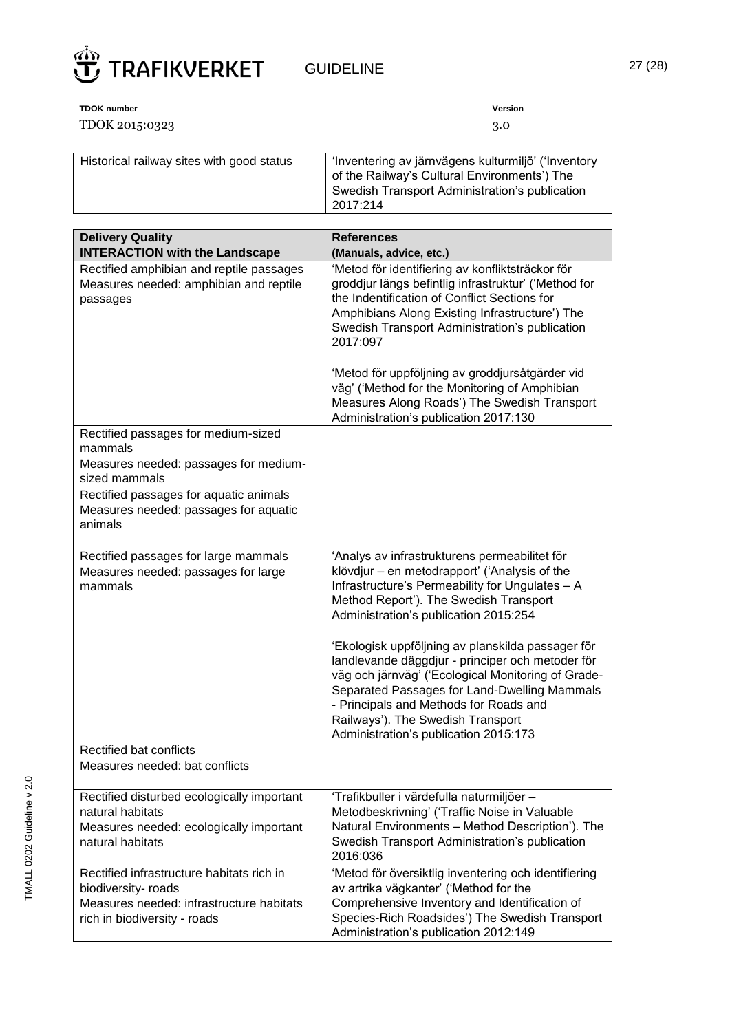

| <b>TDOK number</b>                        | Version                                                                                             |
|-------------------------------------------|-----------------------------------------------------------------------------------------------------|
| TDOK 2015:0323                            | 3.O                                                                                                 |
| Historical railway sites with good status | 'Inventering av järnvägens kulturmiljö' ('Inventory<br>of the Railway's Cultural Environments') The |

|                                                                                                          | Swedish Transport Administration's publication<br>2017:214                                                                                                                                                                                                                                |
|----------------------------------------------------------------------------------------------------------|-------------------------------------------------------------------------------------------------------------------------------------------------------------------------------------------------------------------------------------------------------------------------------------------|
|                                                                                                          |                                                                                                                                                                                                                                                                                           |
| <b>Delivery Quality</b>                                                                                  | <b>References</b>                                                                                                                                                                                                                                                                         |
| <b>INTERACTION with the Landscape</b>                                                                    | (Manuals, advice, etc.)                                                                                                                                                                                                                                                                   |
| Rectified amphibian and reptile passages<br>Measures needed: amphibian and reptile<br>passages           | 'Metod för identifiering av konfliktsträckor för<br>groddjur längs befintlig infrastruktur' ('Method for<br>the Indentification of Conflict Sections for<br>Amphibians Along Existing Infrastructure') The<br>Swedish Transport Administration's publication<br>2017:097                  |
|                                                                                                          | 'Metod för uppföljning av groddjursåtgärder vid<br>väg' ('Method for the Monitoring of Amphibian<br>Measures Along Roads') The Swedish Transport<br>Administration's publication 2017:130                                                                                                 |
| Rectified passages for medium-sized<br>mammals<br>Measures needed: passages for medium-<br>sized mammals |                                                                                                                                                                                                                                                                                           |
| Rectified passages for aquatic animals<br>Measures needed: passages for aquatic<br>animals               |                                                                                                                                                                                                                                                                                           |
| Rectified passages for large mammals<br>Measures needed: passages for large<br>mammals                   | 'Analys av infrastrukturens permeabilitet för<br>klövdjur - en metodrapport' ('Analysis of the<br>Infrastructure's Permeability for Ungulates - A<br>Method Report'). The Swedish Transport<br>Administration's publication 2015:254<br>'Ekologisk uppföljning av planskilda passager för |
|                                                                                                          | landlevande däggdjur - principer och metoder för<br>väg och järnväg' ('Ecological Monitoring of Grade-<br>Separated Passages for Land-Dwelling Mammals<br>- Principals and Methods for Roads and<br>Railways'). The Swedish Transport<br>Administration's publication 2015:173            |
| Rectified bat conflicts<br>Measures needed: bat conflicts                                                |                                                                                                                                                                                                                                                                                           |
| Rectified disturbed ecologically important<br>natural habitats                                           | 'Trafikbuller i värdefulla naturmiljöer -<br>Metodbeskrivning' ('Traffic Noise in Valuable                                                                                                                                                                                                |

2016:036

Natural Environments – Method Description'). The Swedish Transport Administration's publication

'Metod för översiktlig inventering och identifiering

Comprehensive Inventory and Identification of Species-Rich Roadsides') The Swedish Transport

av artrika vägkanter' ('Method for the

Administration's publication 2012:149

Measures needed: ecologically important

Rectified infrastructure habitats rich in

Measures needed: infrastructure habitats

natural habitats

biodiversity- roads

rich in biodiversity - roads